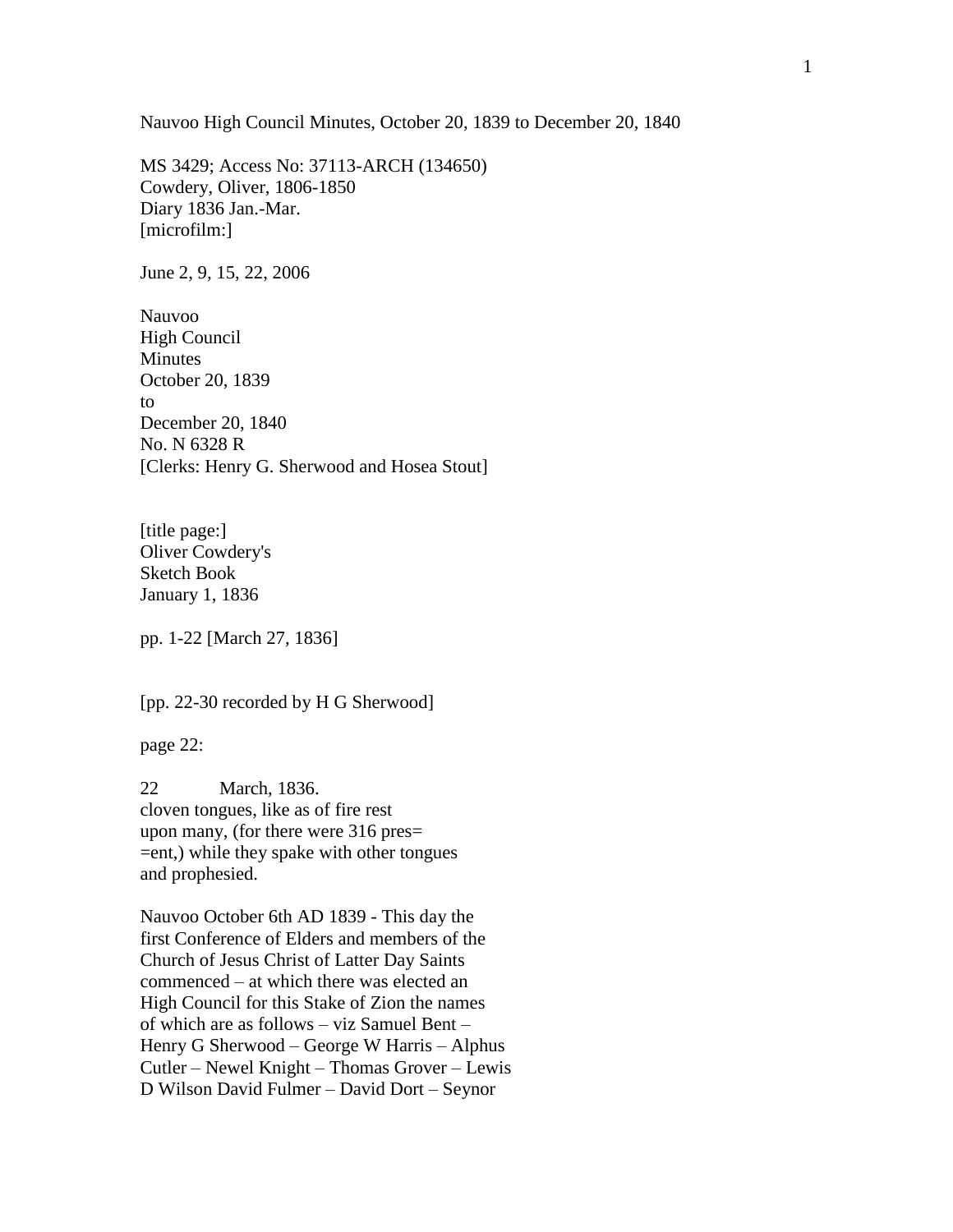Nauvoo High Council Minutes, October 20, 1839 to December 20, 1840

MS 3429; Access No: 37113-ARCH (134650) Cowdery, Oliver, 1806-1850 Diary 1836 Jan.-Mar. [microfilm:]

June 2, 9, 15, 22, 2006

Nauvoo High Council Minutes October 20, 1839 to December 20, 1840 No. N 6328 R [Clerks: Henry G. Sherwood and Hosea Stout]

[title page:] Oliver Cowdery's Sketch Book January 1, 1836

pp. 1-22 [March 27, 1836]

[pp. 22-30 recorded by H G Sherwood]

page 22:

22 March, 1836. cloven tongues, like as of fire rest upon many, (for there were 316 pres= =ent,) while they spake with other tongues and prophesied.

Nauvoo October 6th AD 1839 - This day the first Conference of Elders and members of the Church of Jesus Christ of Latter Day Saints commenced – at which there was elected an High Council for this Stake of Zion the names of which are as follows – viz Samuel Bent – Henry G Sherwood – George W Harris – Alphus Cutler – Newel Knight – Thomas Grover – Lewis D Wilson David Fulmer – David Dort – Seynor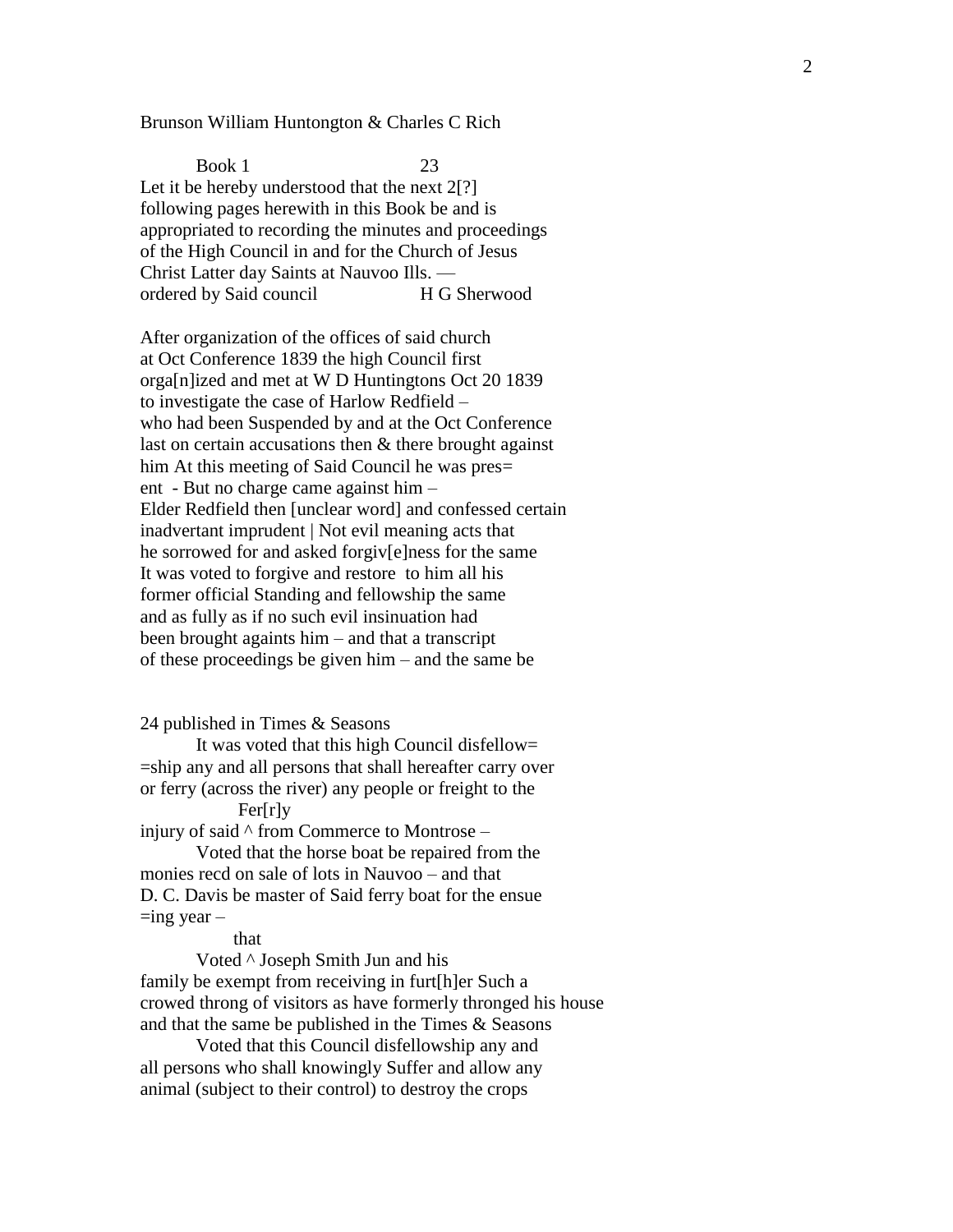Brunson William Huntongton & Charles C Rich

Book 1 23 Let it be hereby understood that the next 2[?] following pages herewith in this Book be and is appropriated to recording the minutes and proceedings of the High Council in and for the Church of Jesus Christ Latter day Saints at Nauvoo Ills. ordered by Said council H G Sherwood

After organization of the offices of said church at Oct Conference 1839 the high Council first orga[n]ized and met at W D Huntingtons Oct 20 1839 to investigate the case of Harlow Redfield – who had been Suspended by and at the Oct Conference last on certain accusations then & there brought against him At this meeting of Said Council he was pres= ent - But no charge came against him – Elder Redfield then [unclear word] and confessed certain inadvertant imprudent | Not evil meaning acts that he sorrowed for and asked forgiv[e]ness for the same It was voted to forgive and restore to him all his former official Standing and fellowship the same and as fully as if no such evil insinuation had been brought againts him – and that a transcript of these proceedings be given him – and the same be

#### 24 published in Times & Seasons

It was voted that this high Council disfellow= =ship any and all persons that shall hereafter carry over or ferry (across the river) any people or freight to the

# Fer[r]y

injury of said ^ from Commerce to Montrose –

Voted that the horse boat be repaired from the monies recd on sale of lots in Nauvoo – and that D. C. Davis be master of Said ferry boat for the ensue  $=$ ing year –

#### that

Voted ^ Joseph Smith Jun and his family be exempt from receiving in furt[h]er Such a crowed throng of visitors as have formerly thronged his house and that the same be published in the Times & Seasons

Voted that this Council disfellowship any and all persons who shall knowingly Suffer and allow any animal (subject to their control) to destroy the crops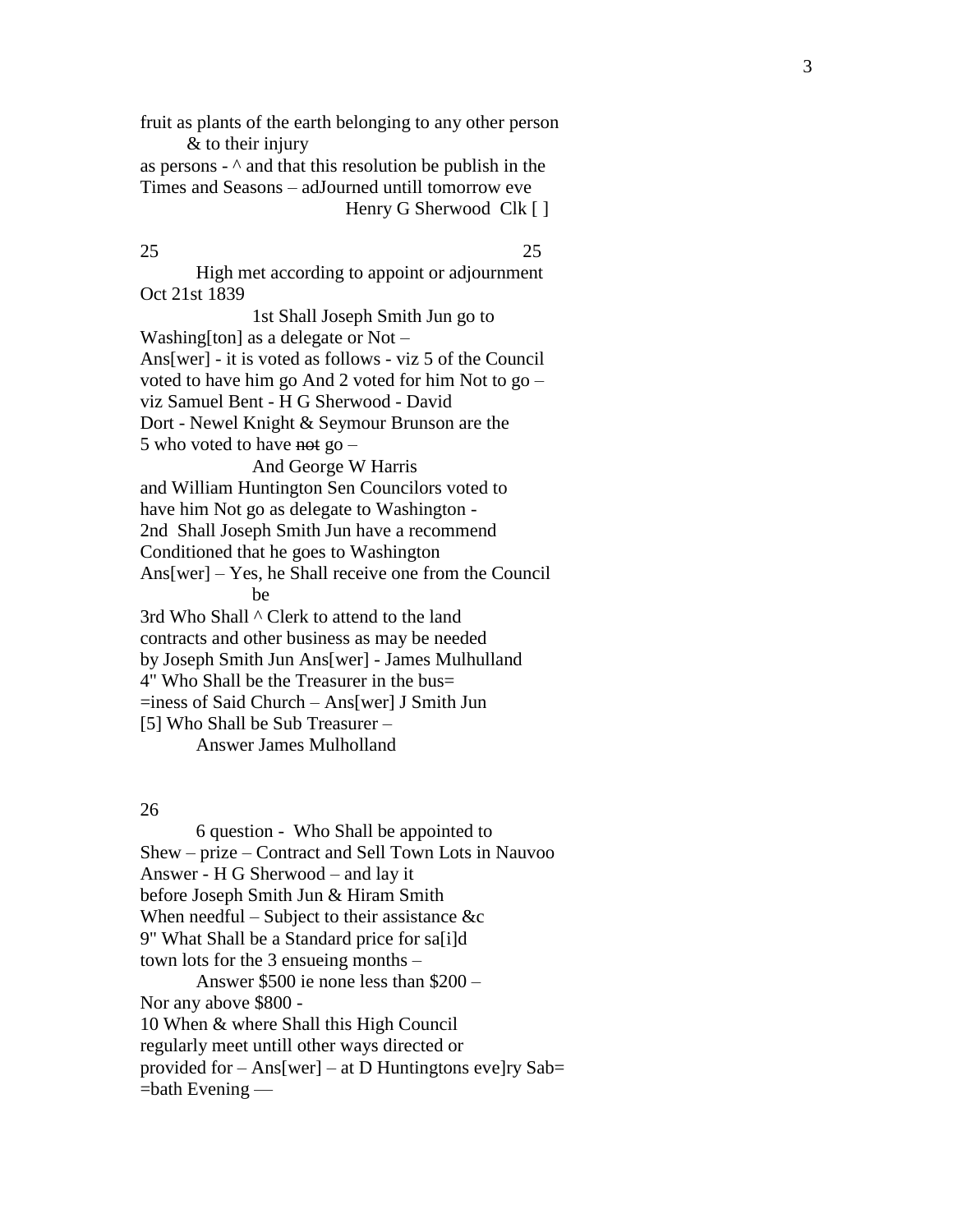fruit as plants of the earth belonging to any other person & to their injury as persons - ^ and that this resolution be publish in the Times and Seasons – adJourned untill tomorrow eve

Henry G Sherwood Clk [ ]

25 25

High met according to appoint or adjournment Oct 21st 1839

1st Shall Joseph Smith Jun go to Washing[ton] as a delegate or Not – Ans[wer] - it is voted as follows - viz 5 of the Council voted to have him go And 2 voted for him Not to go – viz Samuel Bent - H G Sherwood - David Dort - Newel Knight & Seymour Brunson are the 5 who voted to have not go – And George W Harris and William Huntington Sen Councilors voted to have him Not go as delegate to Washington - 2nd Shall Joseph Smith Jun have a recommend Conditioned that he goes to Washington Ans[wer] – Yes, he Shall receive one from the Council be 3rd Who Shall ^ Clerk to attend to the land contracts and other business as may be needed by Joseph Smith Jun Ans[wer] - James Mulhulland 4" Who Shall be the Treasurer in the bus= =iness of Said Church – Ans [wer] J Smith Jun [5] Who Shall be Sub Treasurer – Answer James Mulholland

26

6 question - Who Shall be appointed to Shew – prize – Contract and Sell Town Lots in Nauvoo Answer - H G Sherwood – and lay it before Joseph Smith Jun & Hiram Smith When needful – Subject to their assistance &c 9" What Shall be a Standard price for sa[i]d town lots for the 3 ensu eing months – A nswer \$500 ie none less than \$200 – Nor any above \$800 - 10 When & where Shall this High Council regularly meet untill other ways directed or provided for – Ans[wer] – at D Huntingtons eve ]ry Sab = =bath Evening —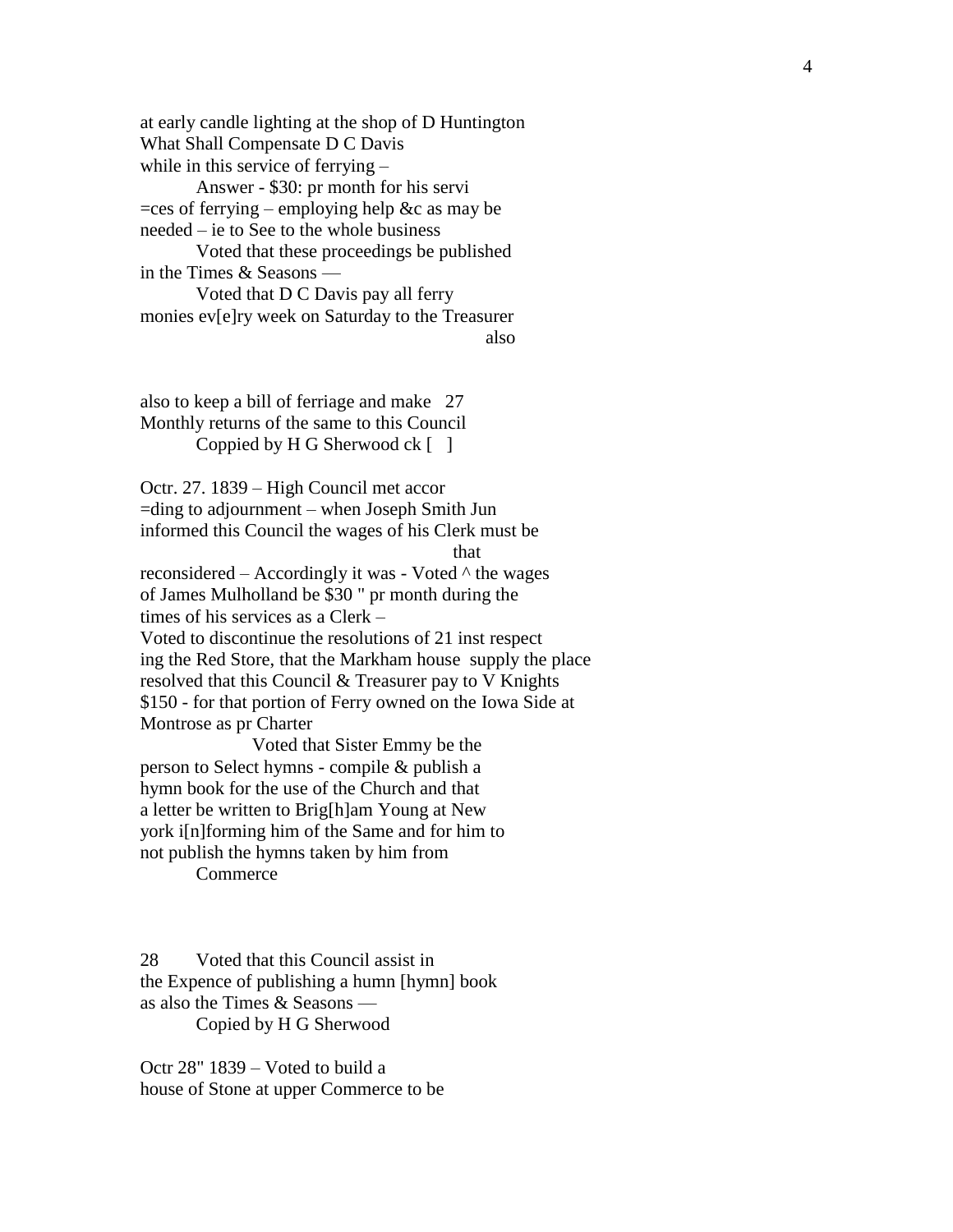at early candle lighting at the shop of D Huntington What Shall Compensate D C Davis while in this service of ferrying –

Answer - \$30: pr month for his servi  $=$ ces of ferrying – employing help &c as may be needed – ie to See to the whole business

Voted that these proceedings be published in the Times & Seasons —

Voted that D C Davis pay all ferry monies ev[e]ry week on Saturday to the Treasurer also

also to keep a bill of ferriage and make 27 Monthly returns of the same to this Council Coppied by H G Sherwood  $ck \lceil \rceil$ 

Octr. 27. 1839 – High Council met accor =ding to adjournment – when Joseph Smith Jun informed this Council the wages of his Clerk must be

that the contract of the contract of the contract of the contract of the contract of the contract of the contract of the contract of the contract of the contract of the contract of the contract of the contract of the contr

reconsidered – Accordingly it was - Voted ^ the wages of James Mulholland be \$30 " pr month during the times of his services as a Clerk – Voted to discontinue the resolutions of 21 inst respect ing the Red Store, that the Markham house supply the place resolved that this Council & Treasurer pay to V Knights \$150 - for that portion of Ferry owned on the Iowa Side at Montrose as pr Charter

Voted that Sister Emmy be the person to Select hymns - compile & publish a hymn book for the use of the Church and that a letter be written to Brig[h]am Young at New york i[n]forming him of the Same and for him to not publish the hymns taken by him from

**Commerce** 

28 Voted that this Council assist in the Expence of publishing a humn [hymn] book as also the Times & Seasons — Copied by H G Sherwood

Octr 28" 1839 – Voted to build a house of Stone at upper Commerce to be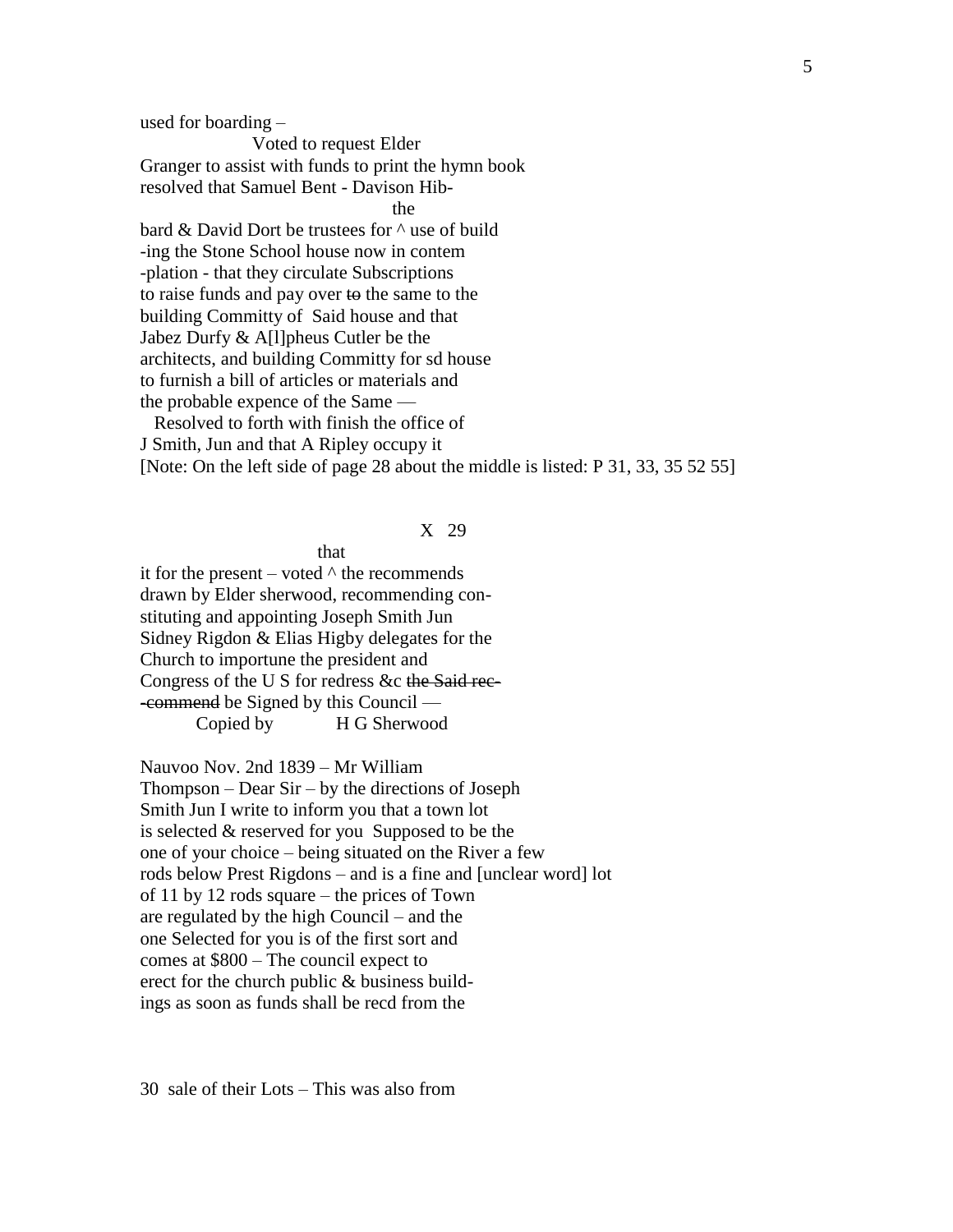used for boarding –

Voted to request Elder Granger to assist with funds to print the hymn book resolved that Samuel Bent - Davison Hib the state of the state of the state of the state of the state of the state of the state of the state of the state of the state of the state of the state of the state of the state of the state of the state of the state of t

bard & David Dort be trustees for ^ use of build -ing the Stone School house now in contem -plation - that they circulate Subscriptions to raise funds and pay over to the same to the building Committy of Said house and that Jabez Durfy & A[l]pheus Cutler be the architects, and building Committy for sd house to furnish a bill of articles or materials and the probable expence of the Same —

 Resolved to forth with finish the office of J Smith, Jun and that A Ripley occupy it [Note: On the left side of page 28 about the middle is listed: P 31, 33, 35 52 55]

#### X 29

that that the state of the state  $\mathbf{t}$ 

it for the present – voted  $\wedge$  the recommends drawn by Elder sherwood, recommending constituting and appointing Joseph Smith Jun Sidney Rigdon & Elias Higby delegates for the Church to importune the president and Congress of the U S for redress &c the Said rec- -commend be Signed by this Council — Copied by H G Sherwood

Nauvoo Nov. 2nd 1839 – Mr William Thompson – Dear Sir – by the directions of Joseph Smith Jun I write to inform you that a town lot is selected & reserved for you Supposed to be the one of your choice – being situated on the River a few rods below Prest Rigdons – and is a fine and [unclear word] lot of 11 by 12 rods square – the prices of Town are regulated by the high Council – and the one Selected for you is of the first sort and comes at \$800 – The council expect to erect for the church public & business buildings as soon as funds shall be recd from the

30 sale of their Lots – This was also from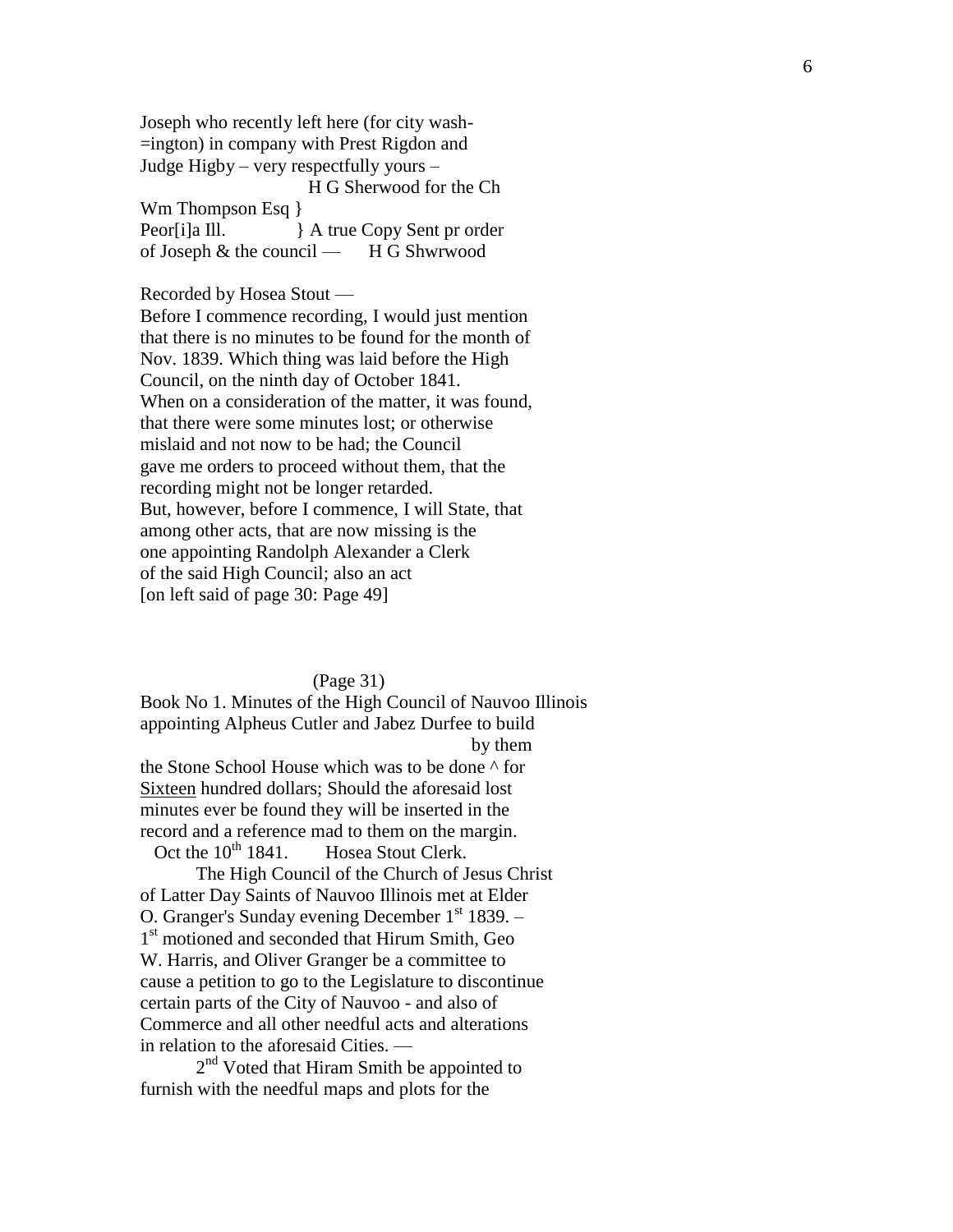Joseph who recently left here (for city wash- =ington) in company with Prest Rigdon and Judge Higby – very respectfully yours – H G Sherwood for the Ch Wm Thompson Esq } Peor[i]a Ill. } A true Copy Sent pr order of Joseph & the council — H G Shwrwood

## Recorded by Hosea Stout —

Before I commence recording, I would just mention that there is no minutes to be found for the month of Nov. 1839. Which thing was laid before the High Council, on the ninth day of October 1841. When on a consideration of the matter, it was found, that there were some minutes lost; or otherwise mislaid and not now to be had; the Council gave me orders to proceed without them, that the recording might not be longer retarded. But, however, before I commence, I will State, that among other acts, that are now missing is the one appointing Randolph Alexander a Clerk of the said High Council; also an act [on left said of page 30: Page 49]

#### (Page 31)

Book No 1. Minutes of the High Council of Nauvoo Illinois appointing Alpheus Cutler and Jabez Durfee to build by them the Stone School House which was to be done ^ for Sixteen hundred dollars; Should the aforesaid lost minutes ever be found they will be inserted in the record and a reference mad to them on the margin. Oct the  $10^{th}$  1841. Hosea Stout Clerk.

The High Council of the Church of Jesus Christ of Latter Day Saints of Nauvoo Illinois met at Elder O. Granger's Sunday evening December  $1<sup>st</sup> 1839. –$ 1 st motioned and seconded that Hirum Smith, Geo W. Harris, and Oliver Granger be a committee to cause a petition to go to the Legislature to discontinue certain parts of the City of Nauvoo - and also of Commerce and all other needful acts and alterations in relation to the aforesaid Cities. —

2<sup>nd</sup> Voted that Hiram Smith be appointed to furnish with the needful maps and plots for the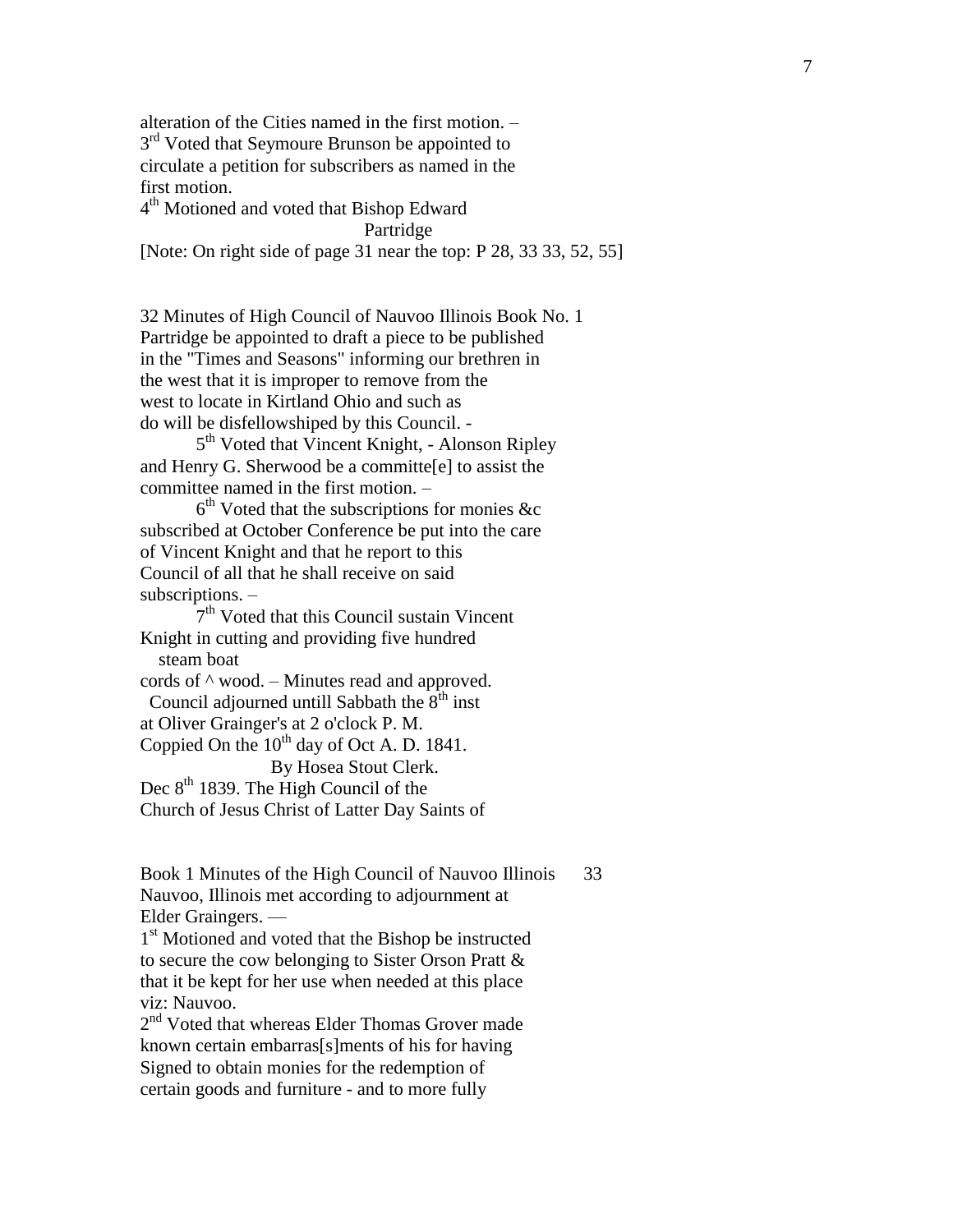alteration of the Cities named in the first motion. – 3<sup>rd</sup> Voted that Seymoure Brunson be appointed to circulate a petition for subscribers as named in the first motion. 4<sup>th</sup> Motioned and voted that Bishop Edward

Partridge [Note: On right side of page 31 near the top: P 28, 33 33, 52, 55]

32 Minutes of High Council of Nauvoo Illinois Book No. 1 Partridge be appointed to draft a piece to be published in the "Times and Seasons" informing our brethren in the west that it is improper to remove from the west to locate in Kirtland Ohio and such as do will be disfellowshiped by this Council. -

5<sup>th</sup> Voted that Vincent Knight, - Alonson Ripley and Henry G. Sherwood be a committe[e] to assist the committee named in the first motion. –

 $6<sup>th</sup>$  Voted that the subscriptions for monies &c subscribed at October Conference be put into the care of Vincent Knight and that he report to this Council of all that he shall receive on said subscriptions. –

7<sup>th</sup> Voted that this Council sustain Vincent Knight in cutting and providing five hundred steam boat cords of ^ wood. – Minutes read and approved. Council adjourned untill Sabbath the  $8<sup>th</sup>$  inst

at Oliver Grainger's at 2 o'clock P. M.

Coppied On the  $10^{th}$  day of Oct A. D. 1841.

By Hosea Stout Clerk.

Dec 8<sup>th</sup> 1839. The High Council of the

Church of Jesus Christ of Latter Day Saints of

Book 1 Minutes of the High Council of Nauvoo Illinois 33 Nauvoo, Illinois met according to adjournment at Elder Graingers. —

1<sup>st</sup> Motioned and voted that the Bishop be instructed to secure the cow belonging to Sister Orson Pratt & that it be kept for her use when needed at this place viz: Nauvoo.

2<sup>nd</sup> Voted that whereas Elder Thomas Grover made known certain embarras[s]ments of his for having Signed to obtain monies for the redemption of certain goods and furniture - and to more fully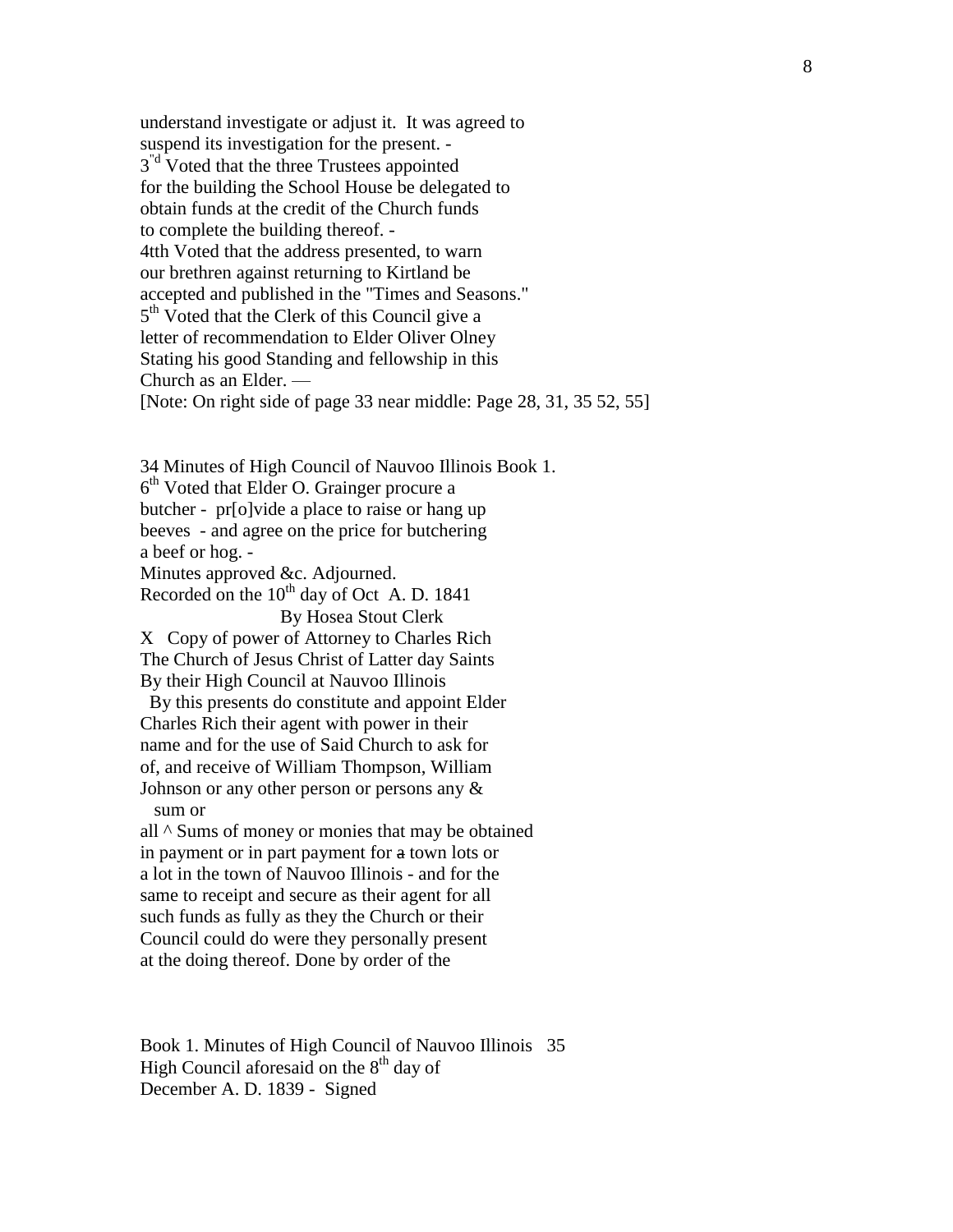understand investigate or adjust it. It was agreed to suspend its investigation for the present. - 3<sup>"d</sup> Voted that the three Trustees appointed for the building the School House be delegated to obtain funds at the credit of the Church funds to complete the building thereof. - 4tth Voted that the address presented, to warn our brethren against returning to Kirtland be accepted and published in the "Times and Seasons." 5<sup>th</sup> Voted that the Clerk of this Council give a letter of recommendation to Elder Oliver Olney Stating his good Standing and fellowship in this Church as an Elder. — [Note: On right side of page 33 near middle: Page 28, 31, 35 52, 55]

34 Minutes of High Council of Nauvoo Illinois Book 1. 6<sup>th</sup> Voted that Elder O. Grainger procure a butcher - pr[o]vide a place to raise or hang up beeves - and agree on the price for butchering a beef or hog. - Minutes approved &c. Adjourned. Recorded on the  $10^{th}$  day of Oct A. D. 1841 By Hosea Stout Clerk X Copy of power of Attorney to Charles Rich The Church of Jesus Christ of Latter day Saints By their High Council at Nauvoo Illinois By this presents do constitute and appoint Elder Charles Rich their agent with power in their name and for the use of Said Church to ask for of, and receive of William Thompson, William Johnson or any other person or persons any & sum or all ^ Sums of money or monies that may be obtained in payment or in part payment for a town lots or

a lot in the town of Nauvoo Illinois - and for the same to receipt and secure as their agent for all such funds as fully as they the Church or their Council could do were they personally present at the doing thereof. Done by order of the

Book 1. Minutes of High Council of Nauvoo Illinois 35 High Council aforesaid on the 8<sup>th</sup> day of December A. D. 1839 - Signed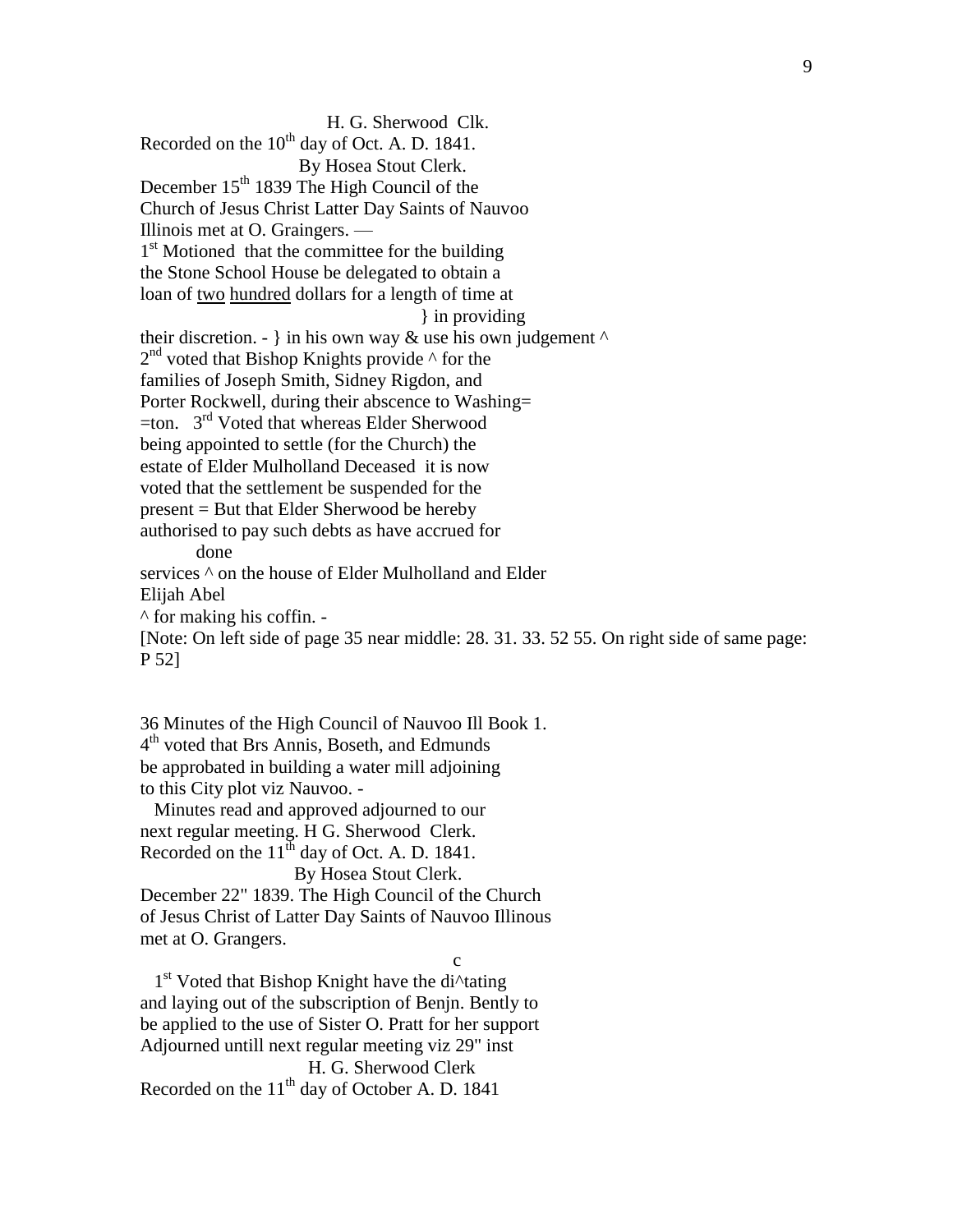H. G. Sherwood Clk. Recorded on the 10<sup>th</sup> day of Oct. A. D. 1841. By Hosea Stout Clerk. December  $15<sup>th</sup> 1839$  The High Council of the Church of Jesus Christ Latter Day Saints of Nauvoo Illinois met at O. Graingers. — 1<sup>st</sup> Motioned that the committee for the building the Stone School House be delegated to obtain a loan of two hundred dollars for a length of time at } in providing their discretion. - } in his own way  $\&$  use his own judgement  $\wedge$ 2<sup>nd</sup> voted that Bishop Knights provide  $\wedge$  for the families of Joseph Smith, Sidney Rigdon, and Porter Rockwell, during their abscence to Washing=  $=$ ton.  $3<sup>rd</sup>$  Voted that whereas Elder Sherwood being appointed to settle (for the Church) the estate of Elder Mulholland Deceased it is now voted that the settlement be suspended for the present = But that Elder Sherwood be hereby authorised to pay such debts as have accrued for done services  $\wedge$  on the house of Elder Mulholland and Elder Elijah Abel  $\wedge$  for making his coffin. -[Note: On left side of page 35 near middle: 28. 31. 33. 52 55. On right side of same page: P 52]

36 Minutes of the High Council of Nauvoo Ill Book 1. 4 th voted that Brs Annis, Boseth, and Edmunds be approbated in building a water mill adjoining to this City plot viz Nauvoo. -

 Minutes read and approved adjourned to our next regular meeting. H G. Sherwood Clerk. Recorded on the 11<sup>th</sup> day of Oct. A. D. 1841. By Hosea Stout Clerk.

December 22" 1839. The High Council of the Church of Jesus Christ of Latter Day Saints of Nauvoo Illinous met at O. Grangers.

c

1<sup>st</sup> Voted that Bishop Knight have the di<sup> $\Lambda$ </sup>tating and laying out of the subscription of Benjn. Bently to be applied to the use of Sister O. Pratt for her support Adjourned untill next regular meeting viz 29" inst H. G. Sherwood Clerk Recorded on the  $11<sup>th</sup>$  day of October A. D. 1841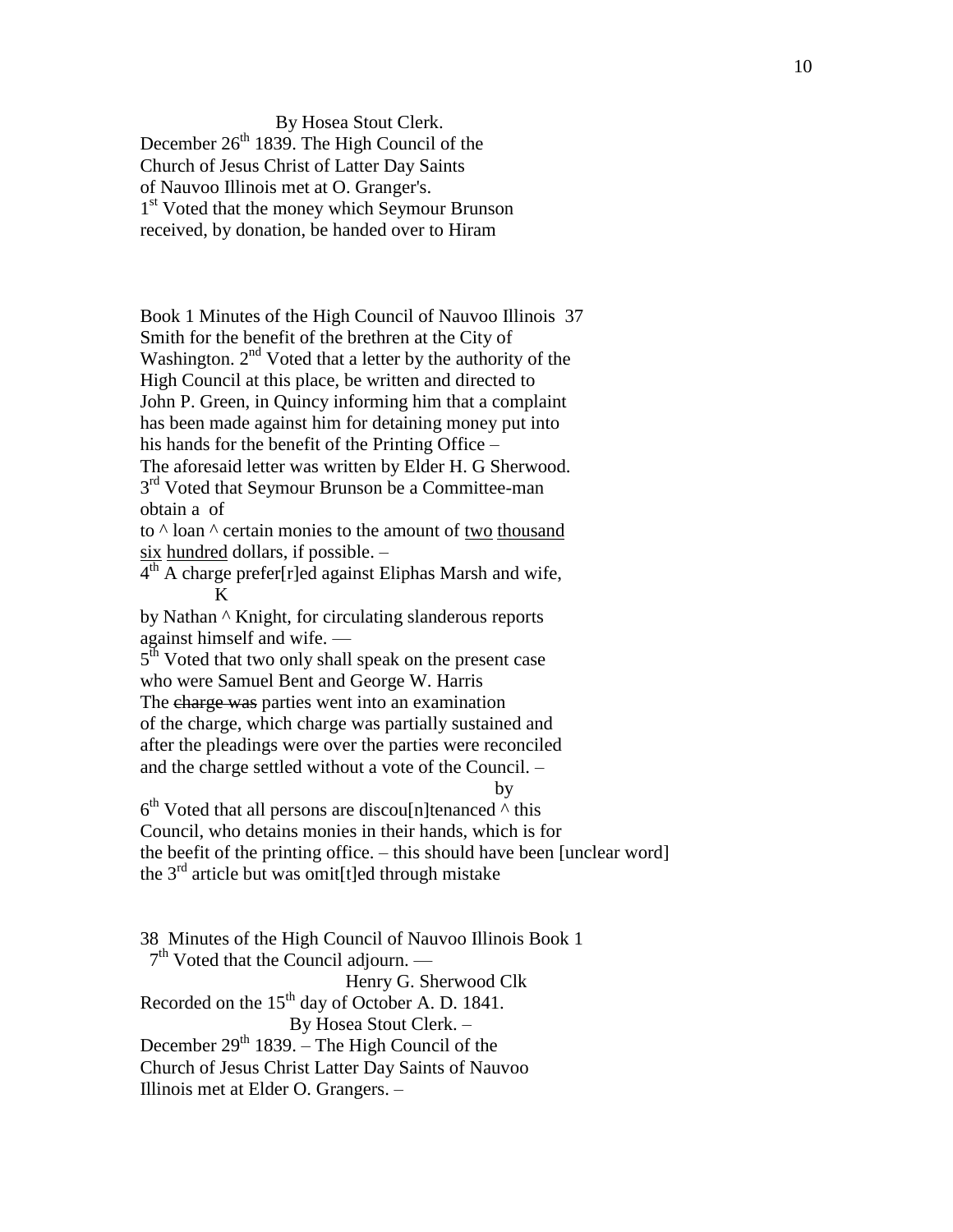By Hosea Stout Clerk. December  $26<sup>th</sup>$  1839. The High Council of the Church of Jesus Christ of Latter Day Saints of Nauvoo Illinois met at O. Granger's. 1<sup>st</sup> Voted that the money which Seymour Brunson received, by donation, be handed over to Hiram

Book 1 Minutes of the High Council of Nauvoo Illinois 37 Smith for the benefit of the brethren at the City of Washington. 2<sup>nd</sup> Voted that a letter by the authority of the High Council at this place, be written and directed to John P. Green, in Quincy informing him that a complaint has been made against him for detaining money put into his hands for the benefit of the Printing Office – The aforesaid letter was written by Elder H. G Sherwood. 3<sup>rd</sup> Voted that Seymour Brunson be a Committee-man obtain a of

to  $\land$  loan  $\land$  certain monies to the amount of two thousand six hundred dollars, if possible. –

 $4<sup>th</sup>$  A charge prefer[r]ed against Eliphas Marsh and wife, K

by Nathan ^ Knight, for circulating slanderous reports against himself and wife. —

5<sup>th</sup> Voted that two only shall speak on the present case who were Samuel Bent and George W. Harris The charge was parties went into an examination of the charge, which charge was partially sustained and after the pleadings were over the parties were reconciled and the charge settled without a vote of the Council. –

by

 $6<sup>th</sup>$  Voted that all persons are discou $[n]$ tenanced  $\wedge$  this Council, who detains monies in their hands, which is for the beefit of the printing office. – this should have been [unclear word] the  $3<sup>rd</sup>$  article but was omit [t] ed through mistake

38 Minutes of the High Council of Nauvoo Illinois Book 1 7<sup>th</sup> Voted that the Council adjourn. — Henry G. Sherwood Clk Recorded on the  $15<sup>th</sup>$  day of October A. D. 1841. By Hosea Stout Clerk. – December 29<sup>th</sup> 1839. – The High Council of the Church of Jesus Christ Latter Day Saints of Nauvoo Illinois met at Elder O. Grangers. –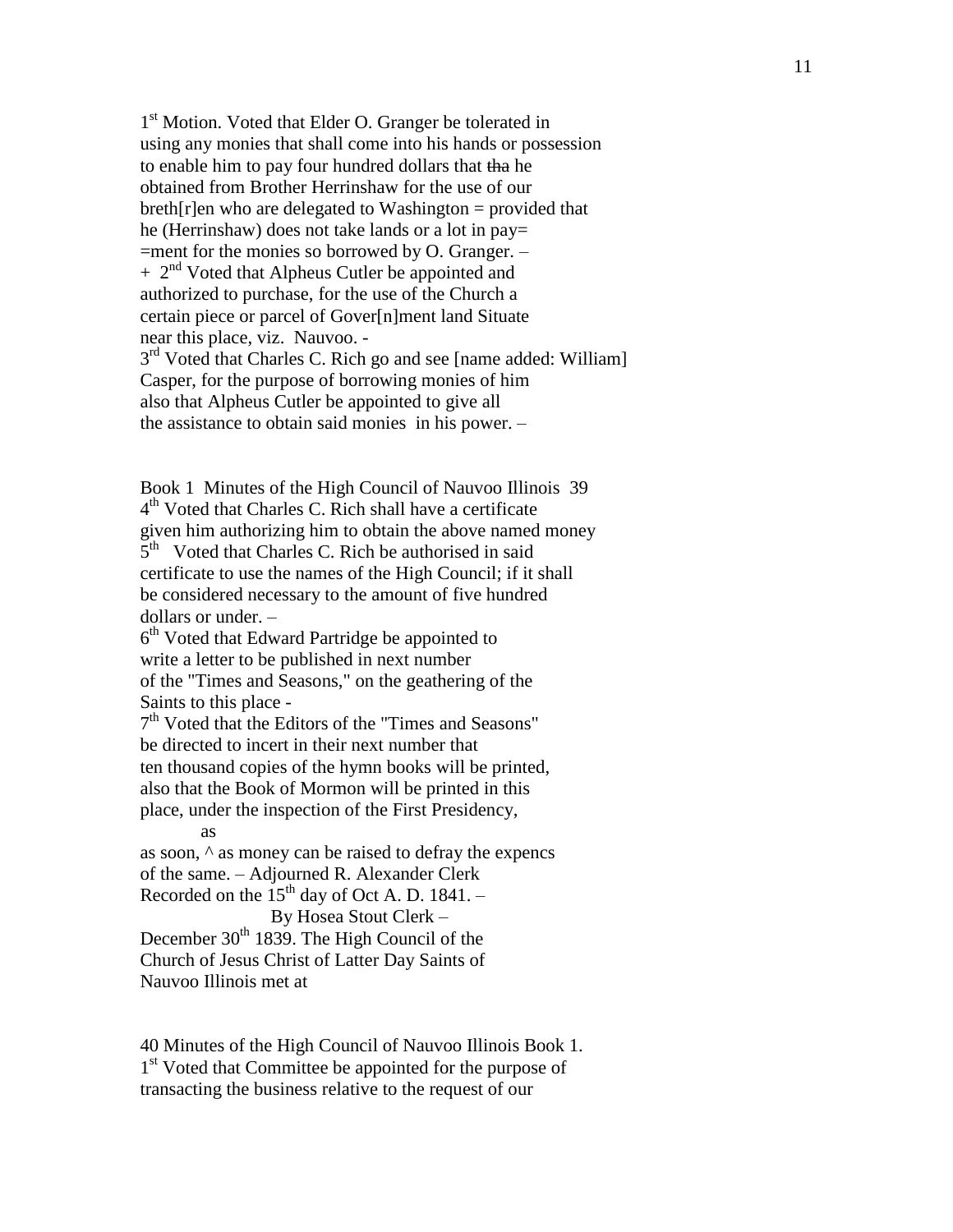1<sup>st</sup> Motion. Voted that Elder O. Granger be tolerated in using any monies that shall come into his hands or possession to enable him to pay four hundred dollars that tha he obtained from Brother Herrinshaw for the use of our  $breth$ [r]en who are delegated to Washington = provided that he (Herrinshaw) does not take lands or a lot in pay= =ment for the monies so borrowed by O. Granger. –  $+ 2<sup>nd</sup>$  Voted that Alpheus Cutler be appointed and authorized to purchase, for the use of the Church a certain piece or parcel of Gover[n]ment land Situate near this place, viz. Nauvoo. - 3<sup>rd</sup> Voted that Charles C. Rich go and see [name added: William] Casper, for the purpose of borrowing monies of him also that Alpheus Cutler be appointed to give all

the assistance to obtain said monies in his power. –

Book 1 Minutes of the High Council of Nauvoo Illinois 39 4<sup>th</sup> Voted that Charles C. Rich shall have a certificate given him authorizing him to obtain the above named money 5<sup>th</sup> Voted that Charles C. Rich be authorised in said certificate to use the names of the High Council; if it shall be considered necessary to the amount of five hundred dollars or under. –

6<sup>th</sup> Voted that Edward Partridge be appointed to write a letter to be published in next number of the "Times and Seasons," on the geathering of the Saints to this place -

7 th Voted that the Editors of the "Times and Seasons" be directed to incert in their next number that ten thousand copies of the hymn books will be printed, also that the Book of Mormon will be printed in this place, under the inspection of the First Presidency,

as

as soon, ^ as money can be raised to defray the expencs of the same. – Adjourned R. Alexander Clerk Recorded on the  $15<sup>th</sup>$  day of Oct A. D. 1841. –

By Hosea Stout Clerk –

December  $30<sup>th</sup>$  1839. The High Council of the Church of Jesus Christ of Latter Day Saints of Nauvoo Illinois met at

40 Minutes of the High Council of Nauvoo Illinois Book 1. 1<sup>st</sup> Voted that Committee be appointed for the purpose of transacting the business relative to the request of our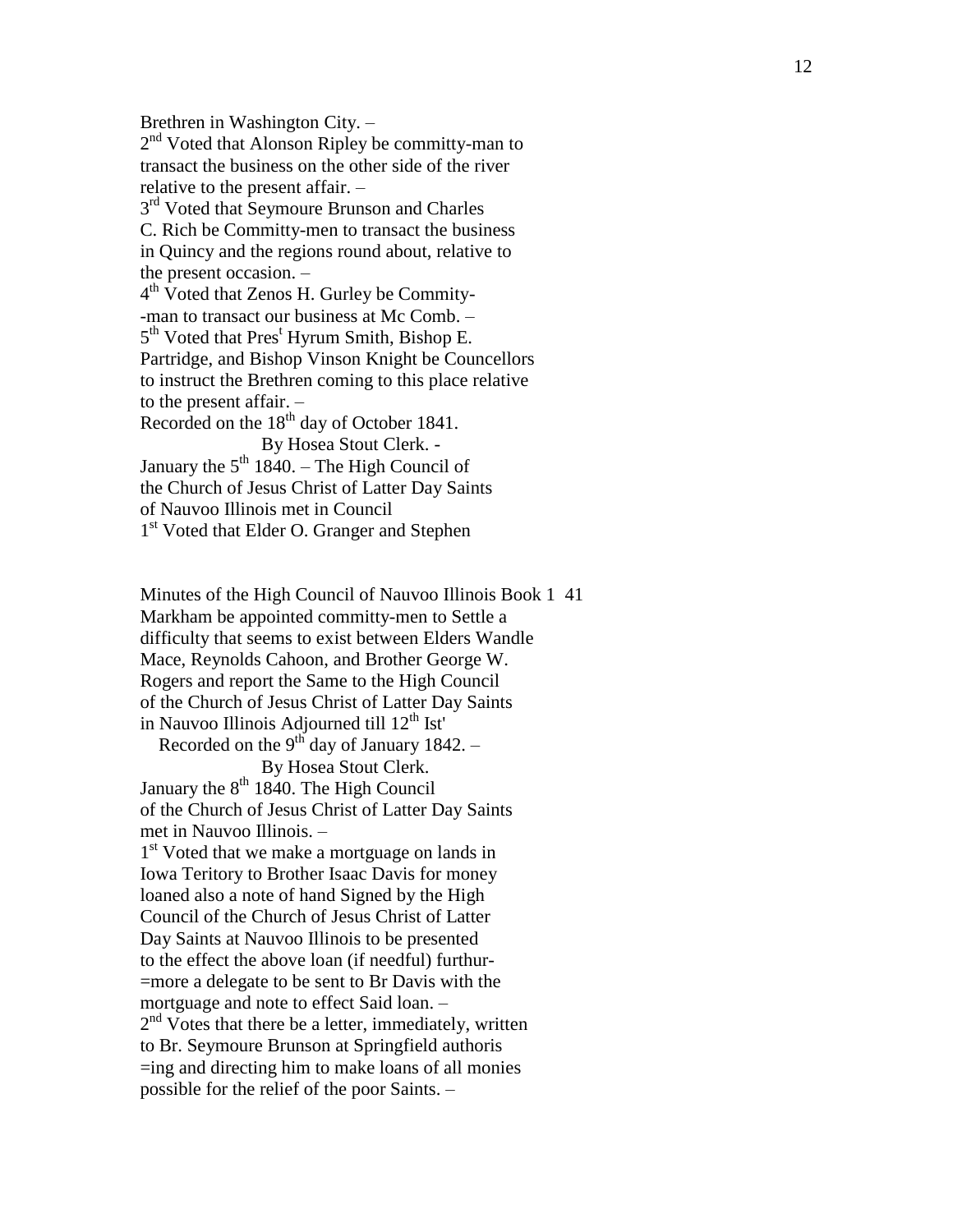Brethren in Washington City. – 2<sup>nd</sup> Voted that Alonson Ripley be committy-man to transact the business on the other side of the river relative to the present affair. – 3<sup>rd</sup> Voted that Seymoure Brunson and Charles C. Rich be Committy -men to transact the business in Quincy and the regions round about, relative to the present occasion. – 4<sup>th</sup> Voted that Zenos H. Gurley be Commity--man to transact our business at Mc Comb. – 5<sup>th</sup> Voted that Pres<sup>t</sup> Hyrum Smith, Bishop E. Partridge, and Bishop Vinson Knight be Councellors to instruct the Brethren coming to this place relative to the present affair. – Recorded on the  $18<sup>th</sup>$  day of October 1841. By Hosea Stout Clerk. - January the  $5<sup>th</sup> 1840$ . – The High Council of the Church of Jesus Christ of Latter Day Saints of Nauvoo Illinois met in Council

1<sup>st</sup> Voted that Elder O. Granger and Stephen

Minutes of the High Council of Nauvoo Illinois Book 1 41 Markham be appointed committy -men to Settle a difficulty that seems to exist between Elders Wandle Mace, Reynolds Cahoon, and Brother George W. Rogers and report the Same to the High Council of the Church of Jesus Christ of Latter Day Saints in Nauvoo Illinois Adjourned till 12<sup>th</sup> Ist'

Recorded on the  $9<sup>th</sup>$  day of January 1842. – By Hosea Stout Clerk.

January the  $8<sup>th</sup> 1840$ . The High Council of the Church of Jesus Christ of Latter Day Saints met in Nauvoo Illinois. –

1<sup>st</sup> Voted that we make a mortguage on lands in Iowa Teritory to Brother Isaac Davis for money loaned also a note of hand Signed by the High Council of the Church of Jesus Christ of Latter Day Saints at Nauvoo Illinois to be presented to the effect the above loan (if needful) furthur - =more a delegate to be sent to Br Davis with the mortguage and note to effect Said loan. – 2<sup>nd</sup> Votes that there be a letter, immediately, written to Br. Seymoure Brunson at Springfield authoris =ing and directing him to make loans of all monies possible for the relief of the poor Saints. –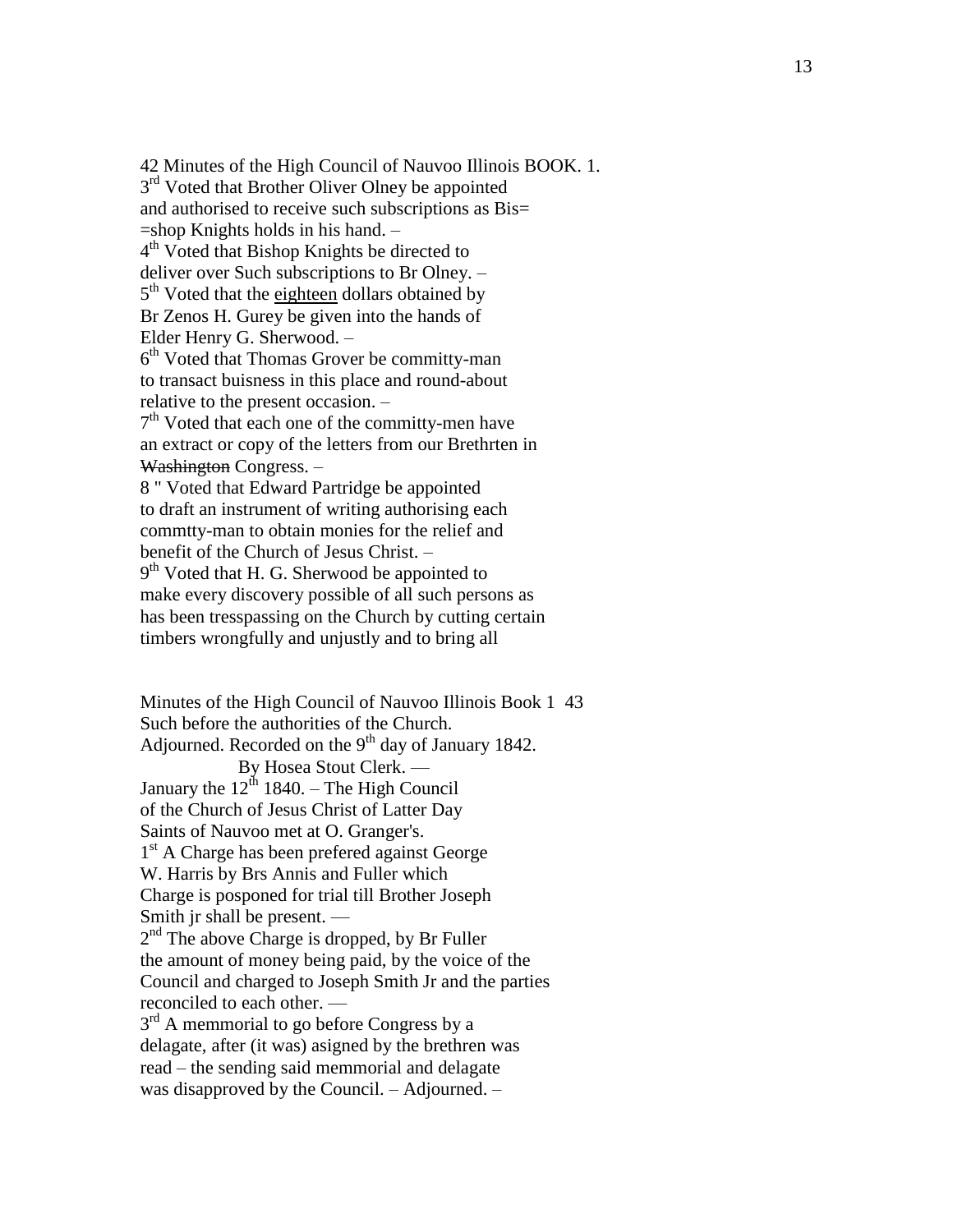<sup>42</sup> Minutes of the High Council of Nauvoo Illinois BOOK. 1. 3 3<sup>rd</sup> Voted that Brother Oliver Olney be appointed and authorised to receive such subscriptions as Bis= =shop Knights holds in his hand. – 4<sup>th</sup> Voted that Bishop Knights be directed to deliver over Such subscriptions to Br Olney. – 5<sup>th</sup> Voted that the eighteen dollars obtained by Br Zenos H. Gurey be given into the hands of Elder Henry G. Sherwood. – 6 th Voted that Thomas Grover be committy -man to transact buisness in this place and round -about relative to the present occasion. – 7<sup>th</sup> Voted that each one of the committy-men have an extract or copy of the letters from our Brethrten in Washington Congress. -8 " Voted that Edward Partridge be appointed to draft an instrument of writing authorising each commtty -man to obtain monies for the relief and benefit of the Church of Jesus Christ. – 9<sup>th</sup> Voted that H. G. Sherwood be appointed to make every discovery possible of all such persons as has been tresspassing on the Church by cutting certain timbers wrongfully and unjustly and to bring all Minutes of the High Council of Nauvoo Illinois Book 1 43

Such before the authorities of the Church. Adjourned. Recorded on the  $9<sup>th</sup>$  day of January 1842. By Hosea Stout Clerk. — January the  $12^{th}$  1840. – The High Council of the Church of Jesus Christ of Latter Day Saints of Nauvoo met at O. Granger's. 1<sup>st</sup> A Charge has been prefered against George W. Harris by Brs Annis and Fuller which Charge is posponed for trial till Brother Joseph Smith jr shall be present. — 2<sup>nd</sup> The above Charge is dropped, by Br Fuller the amount of money being paid, by the voice of the Council and charged to Joseph Smith Jr and the parties reconciled to each other. —  $3<sup>rd</sup>$  A memmorial to go before Congress by a delagate, after (it was) asigned by the brethren was read – the sending said memmorial and delagate was disapproved by the Council. – Adjourned. –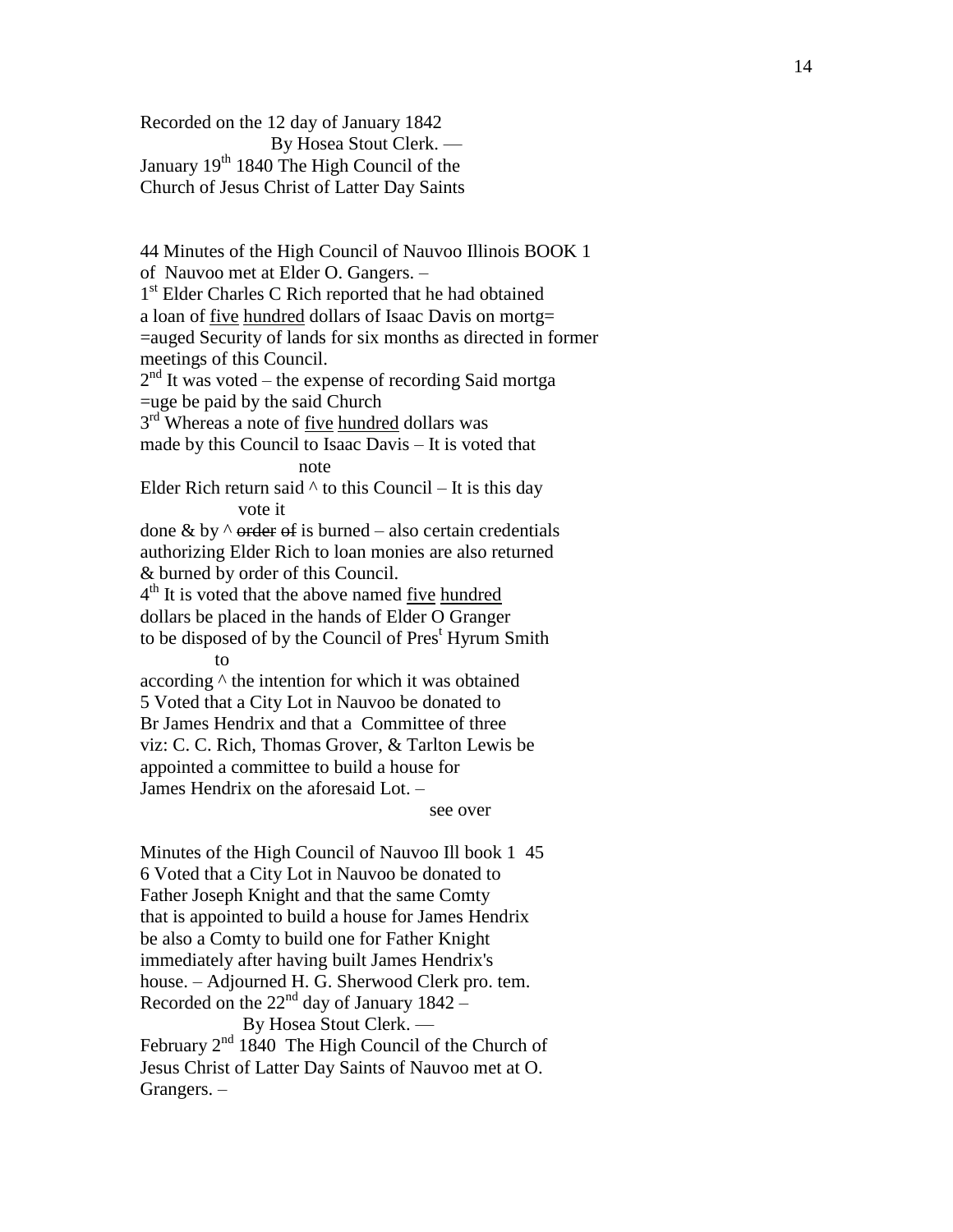Recorded on the 12 day of January 1842 By Hosea Stout Clerk. — January 19<sup>th</sup> 1840 The High Council of the Church of Jesus Christ of Latter Day Saints

44 Minutes of the High Council of Nauvoo Illinois BOOK 1 of Nauvoo met at Elder O. Gangers. – 1<sup>st</sup> Elder Charles C Rich reported that he had obtained a loan of <u>five hundred</u> dollars of Isaac Davis on mortg= =auged Security of lands for six months as directed in former meetings of this Council.  $2<sup>nd</sup>$  It was voted – the expense of recording Said mortga =uge be paid by the said Church 3<sup>rd</sup> Whereas a note of <u>five hundred</u> dollars was made by this Council to Isaac Davis – It is voted that note Elder Rich return said  $\wedge$  to this Council – It is this day vote it done & by  $\land$  order of is burned – also certain credentials authorizing Elder Rich to loan monies are also returned & burned by order of this Council. 4<sup>th</sup> It is voted that the above named <u>five hundred</u> dollars be placed in the hands of Elder O Granger to be disposed of by the Council of Pres<sup>t</sup> Hyrum Smith to according ^ the intention for which it was obtained 5 Voted that a City Lot in Nauvoo be donated to Br James Hendrix and that a Committee of three viz: C. C. Rich, Thomas Grover, & Tarlton Lewis be appointed a committee to build a house for James Hendrix on the aforesaid Lot. –

see over

Minutes of the High Council of Nauvoo Ill book 1 45 6 Voted that a City Lot in Nauvoo be donated to Father Joseph Knight and that the same Comty that is appointed to build a house for James Hendrix be also a Comty to build one for Father Knight immediately after having built James Hendrix's house. – Adjourned H. G. Sherwood Clerk pro. tem. Recorded on the  $22<sup>nd</sup>$  day of January 1842 – By Hosea Stout Clerk. — February 2<sup>nd</sup> 1840 The High Council of the Church of Jesus Christ of Latter Day Saints of Nauvoo met at O. Grangers. –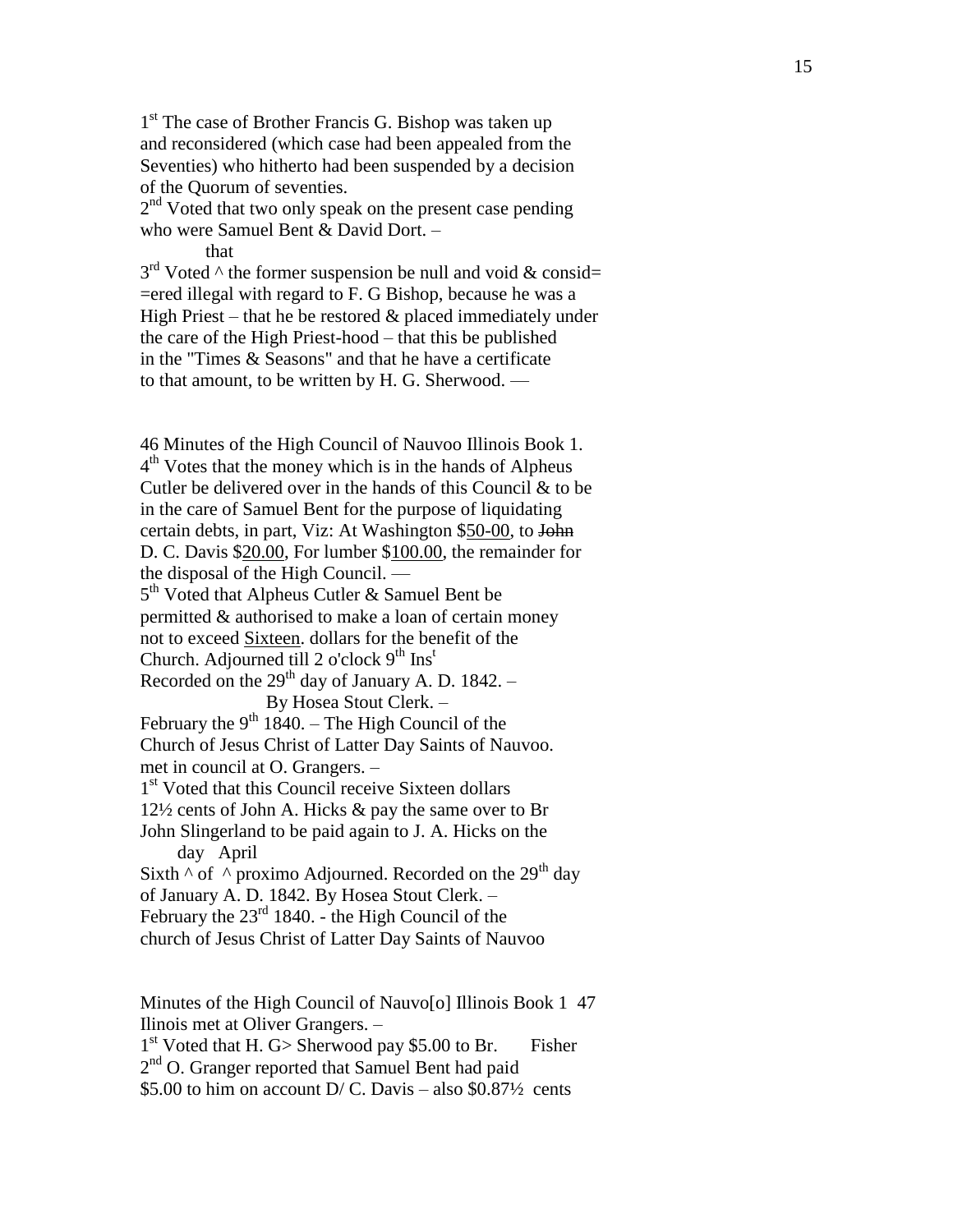1<sup>st</sup> The case of Brother Francis G. Bishop was taken up and reconsidered (which case had been appealed from the Seventies) who hitherto had been suspended by a decision of the Quorum of seventies.

2<sup>nd</sup> Voted that two only speak on the present case pending who were Samuel Bent & David Dort. –

that

 $3<sup>rd</sup>$  Voted  $\wedge$  the former suspension be null and void & consid= =ered illegal with regard to F. G Bishop, because he was a High Priest – that he be restored & placed immediately under the care of the High Priest -hood – that this be published in the "Times & Seasons" and that he have a certificate to that amount, to be written by H. G. Sherwood. —

46 Minutes of the High Council of Nauvoo Illinois Book 1. 4<sup>th</sup> Votes that the money which is in the hands of Alpheus Cutler be delivered over in the hands of this Council & to be in the care of Samuel Bent for the purpose of liquidating certain debts, in part, Viz: At Washington \$50-00, to John D. C. Davis \$20.00, For lumber \$100.00, the remainder for the disposal of the High Council. — 5<sup>th</sup> Voted that Alpheus Cutler & Samuel Bent be permitted & authorised to make a loan of certain money not to exceed Sixteen. dollars for the benefit of the Church. Adjourned till 2 o'clock  $9<sup>th</sup>$  Ins<sup>t</sup> Recorded on the  $29<sup>th</sup>$  day of January A. D. 1842. – By Hosea Stout Clerk. – February the  $9<sup>th</sup> 1840$ . – The High Council of the Church of Jesus Christ of Latter Day Saints of Nauvoo. met in council at O. Grangers. – 1<sup>st</sup> Voted that this Council receive Sixteen dollars 12½ cents of John A. Hicks & pay the same over to Br John Slingerland to be paid again to J. A. Hicks on the day April Sixth  $\wedge$  of  $\wedge$  proximo Adjourned. Recorded on the 29<sup>th</sup> day of January A. D. 1842. By Hosea Stout Clerk. – February the  $23<sup>rd</sup> 1840$ . - the High Council of the church of Jesus Christ of Latter Day Saints of Nauvoo

Minutes of the High Council of Nauvo<sup>[o]</sup> Illinois Book 1 47 Ilinois met at Oliver Grangers. –

1<sup>st</sup> Voted that H. G> Sherwood pay \$5.00 to Br. Fisher 2<sup>nd</sup> O. Granger reported that Samuel Bent had paid

\$5.00 to him on account  $D/C$ . Davis – also \$0.87 $\frac{1}{2}$  cents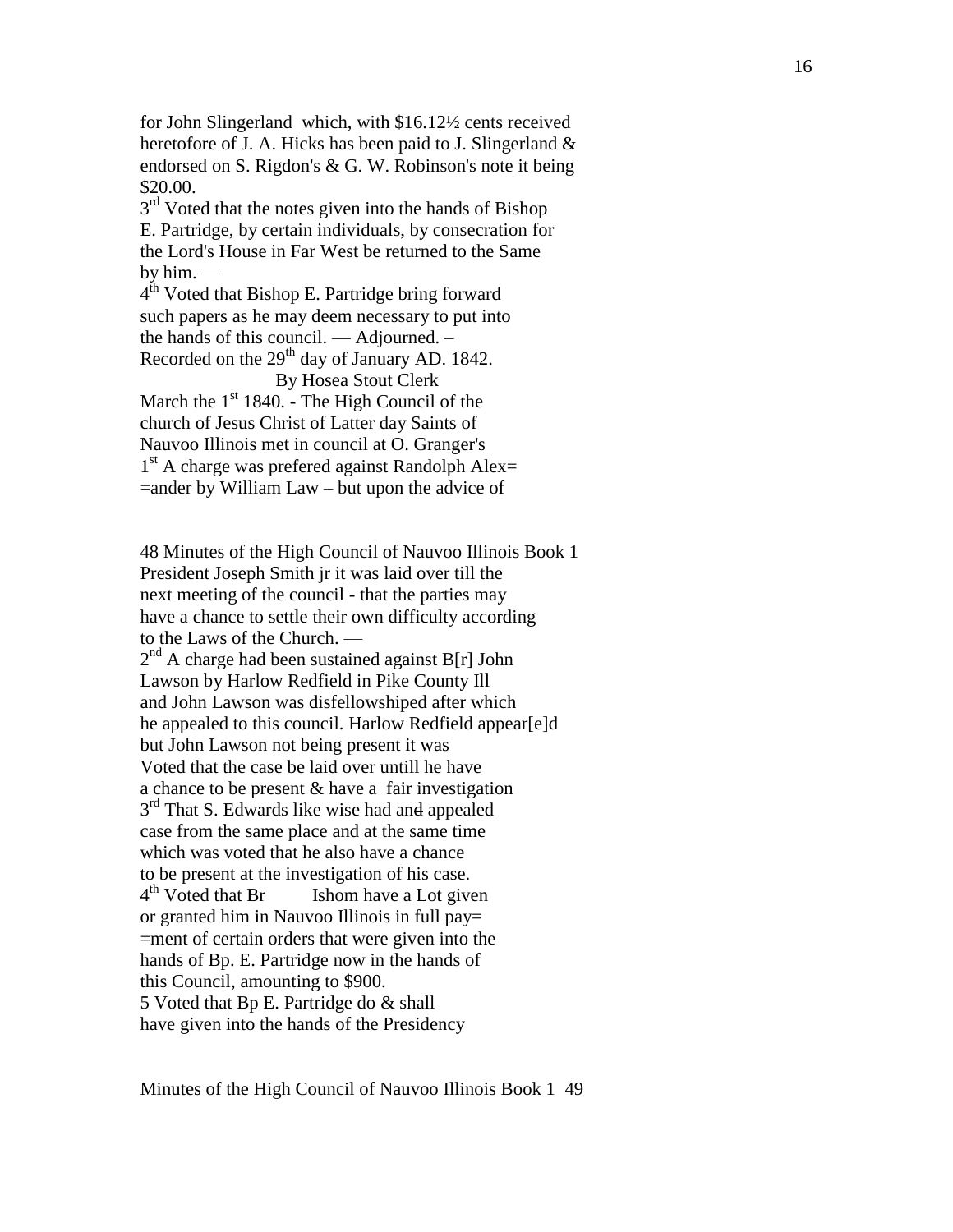for John Slingerland which, with \$16.12½ cents received heretofore of J. A. Hicks has been paid to J. Slingerland  $\&$ endorsed on S. Rigdon's & G. W. Robinson's note it being \$20.00.

3<sup>rd</sup> Voted that the notes given into the hands of Bishop E. Partridge, by certain individuals, by consecration for the Lord's House in Far West be returned to the Same by him. —

 $4^{\text{th}}$  Voted that Bishop E. Partridge bring forward such papers as he may deem necessary to put into the hands of this council. — Adjourned. – Recorded on the 29<sup>th</sup> day of January AD. 1842.

By Hosea Stout Clerk

March the  $1<sup>st</sup> 1840$ . - The High Council of the church of Jesus Christ of Latter day Saints of Nauvoo Illinois met in council at O. Granger's<br>1<sup>st</sup> A charge was prefered against Randolph Alex= =ander by William Law – but upon the advice of

48 Minutes of the High Council of Nauvoo Illinois Book 1 President Joseph Smith jr it was laid over till the next meeting of the council - that the parties may have a chance to settle their own difficulty according to the Laws of the Church. —  $2<sup>nd</sup>$  A charge had been sustained against B[r] John Lawson by Harlow Redfield in Pike County Ill and John Lawson was disfellowshiped after which he appealed to this council. Harlow Redfield appear[e]d but John Lawson not being present it was Voted that the case be laid over untill he have a chance to be present & have a fair investigation 3<sup>rd</sup> That S. Edwards like wise had and appealed case from the same place and at the same time which was voted that he also have a chance to be present at the investigation of his case. 4<sup>th</sup> Voted that Br Is Ishom have a Lot given or granted him in Nauvoo Illinois in full pay= =ment of certain orders that were given into the hands of Bp. E. Partridge now in the hands of this Council, amounting to \$900. 5 Voted that Bp E. Partridge do & shall have given into the hands of the Presidency

Minutes of the High Council of Nauvoo Illinois Book 1 49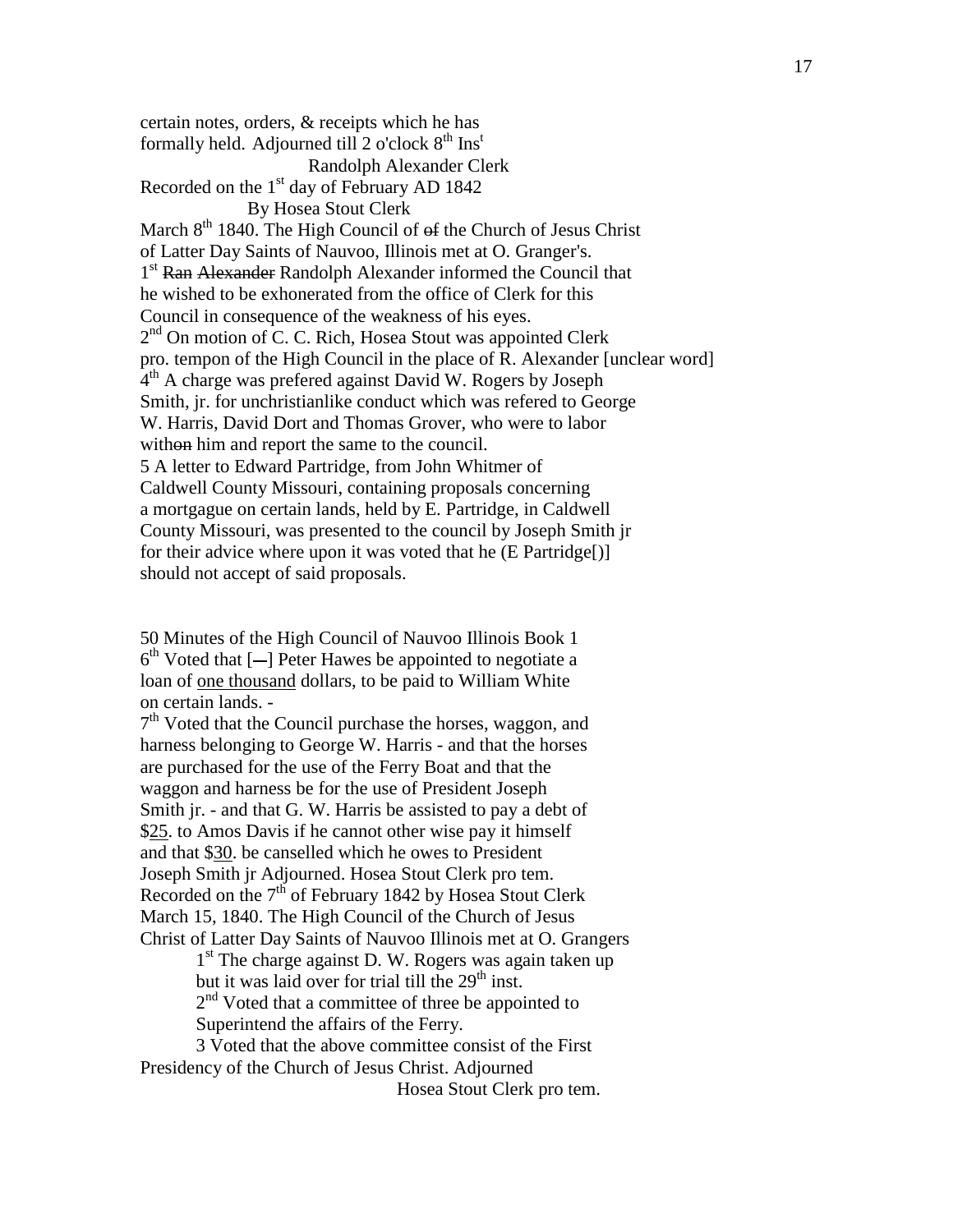certain notes, orders, & receipts which he has formally held. Adjourned till 2 o'clock  $8<sup>th</sup>$  Ins<sup>t</sup> Randolph Alexander Clerk Recorded on the  $1<sup>st</sup>$  day of February AD 1842 By Hosea Stout Clerk March  $8<sup>th</sup>$  1840. The High Council of  $\Theta$ f the Church of Jesus Christ of Latter Day Saints of Nauvoo, Illinois met at O. Granger's. 1<sup>st</sup> Ran Alexander Randolph Alexander informed the Council that he wished to be exhonerated from the office of Clerk for this Council in consequence of the weakness of his eyes. 2<sup>nd</sup> On motion of C. C. Rich, Hosea Stout was appointed Clerk pro. tempon of the High Council in the place of R. Alexander [unclear word] 4<sup>th</sup> A charge was prefered against David W. Rogers by Joseph Smith, jr. for unchristianlike conduct which was refered to George W. Harris, David Dort and Thomas Grover, who were to labor without him and report the same to the council. 5 A letter to Edward Partridge, from John Whitmer of Caldwell County Missouri, containing proposals concerning a mortgague on certain lands, held by E. Partridge, in Caldwell County Missouri, was presented to the council by Joseph Smith jr for their advice where upon it was voted that he (E Partridge[)] should not accept of said proposals.

50 Minutes of the High Council of Nauvoo Illinois Book 1  $6<sup>th</sup>$  Voted that  $[-]$  Peter Hawes be appointed to negotiate a loan of one thousand dollars, to be paid to William White on certain lands. -

7<sup>th</sup> Voted that the Council purchase the horses, waggon, and harness belonging to George W. Harris - and that the horses are purchased for the use of the Ferry Boat and that the waggon and harness be for the use of President Joseph Smith jr. - and that G. W. Harris be assisted to pay a debt of \$25. to Amos Davis if he cannot other wise pay it himself and that \$30. be canselled which he owes to President Joseph Smith jr Adjourned. Hosea Stout Clerk pro tem. Recorded on the  $7<sup>th</sup>$  of February 1842 by Hosea Stout Clerk March 15, 1840. The High Council of the Church of Jesus Christ of Latter Day Saints of Nauvoo Illinois met at O. Grangers

> 1<sup>st</sup> The charge against D. W. Rogers was again taken up but it was laid over for trial till the  $29<sup>th</sup>$  inst.

2<sup>nd</sup> Voted that a committee of three be appointed to

Superintend the affairs of the Ferry.

3 Voted that the above committee consist of the First Presidency of the Church of Jesus Christ. Adjourned

Hosea Stout Clerk pro tem.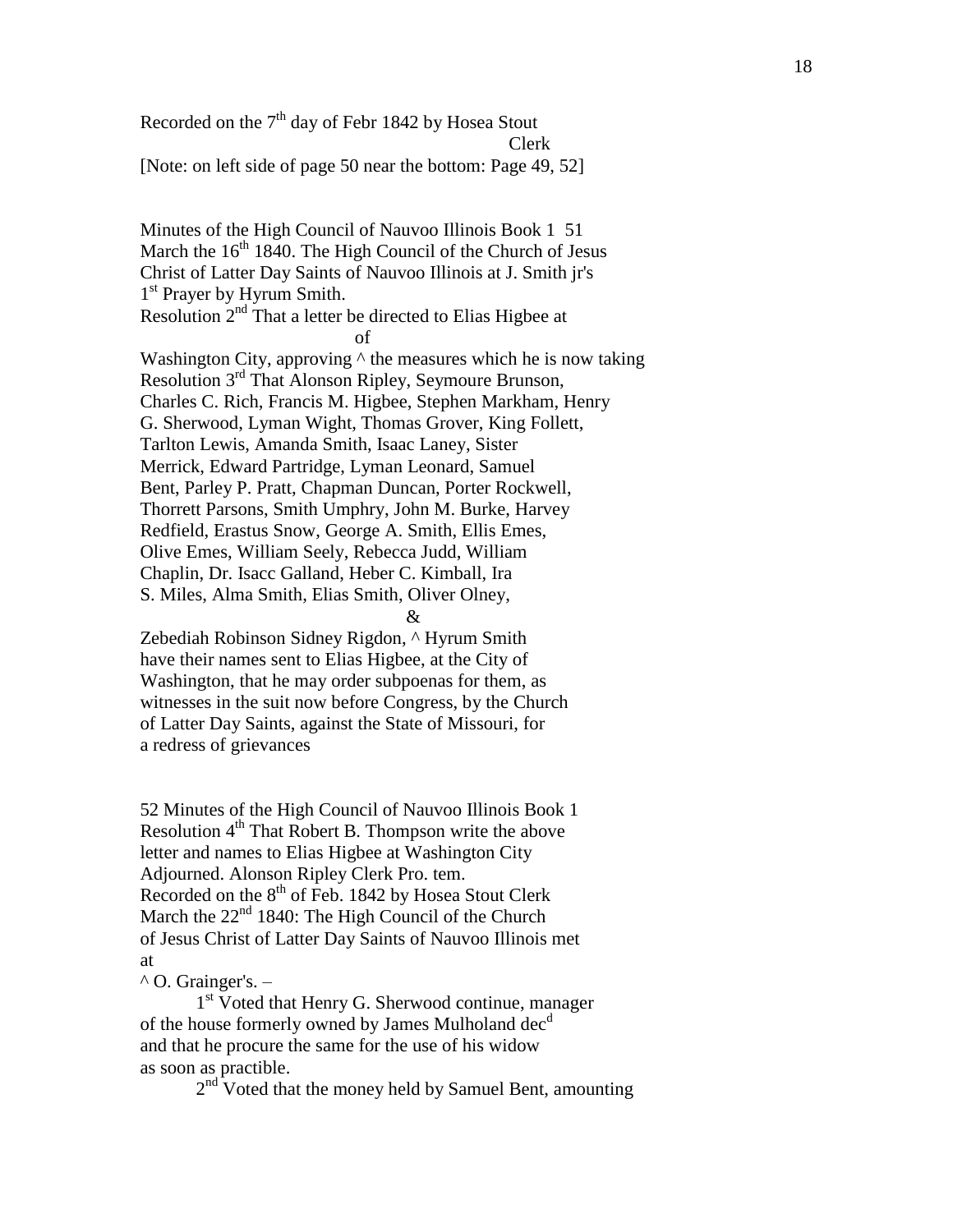Recorded on the  $7<sup>th</sup>$  day of Febr 1842 by Hosea Stout Clerk [Note: on left side of page 50 near the bottom: Page 49, 52]

Minutes of the High Council of Nauvoo Illinois Book 1 51 March the  $16<sup>th</sup> 1840$ . The High Council of the Church of Jesus Christ of Latter Day Saints of Nauvoo Illinois at J. Smith jr's 1<sup>st</sup> Prayer by Hyrum Smith. Resolution  $2<sup>nd</sup>$  That a letter be directed to Elias Higbee at of Washington City, approving  $\wedge$  the measures which he is now taking Resolution 3<sup>rd</sup> That Alonson Ripley, Seymoure Brunson, Charles C. Rich, Francis M. Higbee, Stephen Markham, Henry G. Sherwood, Lyman Wight, Thomas Grover, King Follett, Tarlton Lewis, Amanda Smith, Isaac Laney, Sister Merrick, Edward Partridge, Lyman Leonard, Samuel Bent, Parley P. Pratt, Chapman Duncan, Porter Rockwell, Thorrett Parsons, Smith Umphry, John M. Burke, Harvey Redfield, Erastus Snow, George A. Smith, Ellis Emes, Olive Emes, William Seely, Rebecca Judd, William Chaplin, Dr. Isacc Galland, Heber C. Kimball, Ira S. Miles, Alma Smith, Elias Smith, Oliver Olney, &

Zebediah Robinson Sidney Rigdon, ^ Hyrum Smith have their names sent to Elias Higbee, at the City of Washington, that he may order subpoenas for them, as witnesses in the suit now before Congress, by the Church of Latter Day Saints, against the State of Missouri, for a redress of grievances

52 Minutes of the High Council of Nauvoo Illinois Book 1 Resolution 4<sup>th</sup> That Robert B. Thompson write the above letter and names to Elias Higbee at Washington City Adjourned. Alonson Ripley Clerk Pro. tem. Recorded on the  $8<sup>th</sup>$  of Feb. 1842 by Hosea Stout Clerk March the  $22<sup>nd</sup> 1840$ : The High Council of the Church of Jesus Christ of Latter Day Saints of Nauvoo Illinois met at

## $^{\wedge}$  O. Grainger's. –

1<sup>st</sup> Voted that Henry G. Sherwood continue, manager of the house formerly owned by James Mulholand dec<sup>d</sup> and that he procure the same for the use of his widow as soon as practible.

 $2<sup>nd</sup>$  Voted that the money held by Samuel Bent, amounting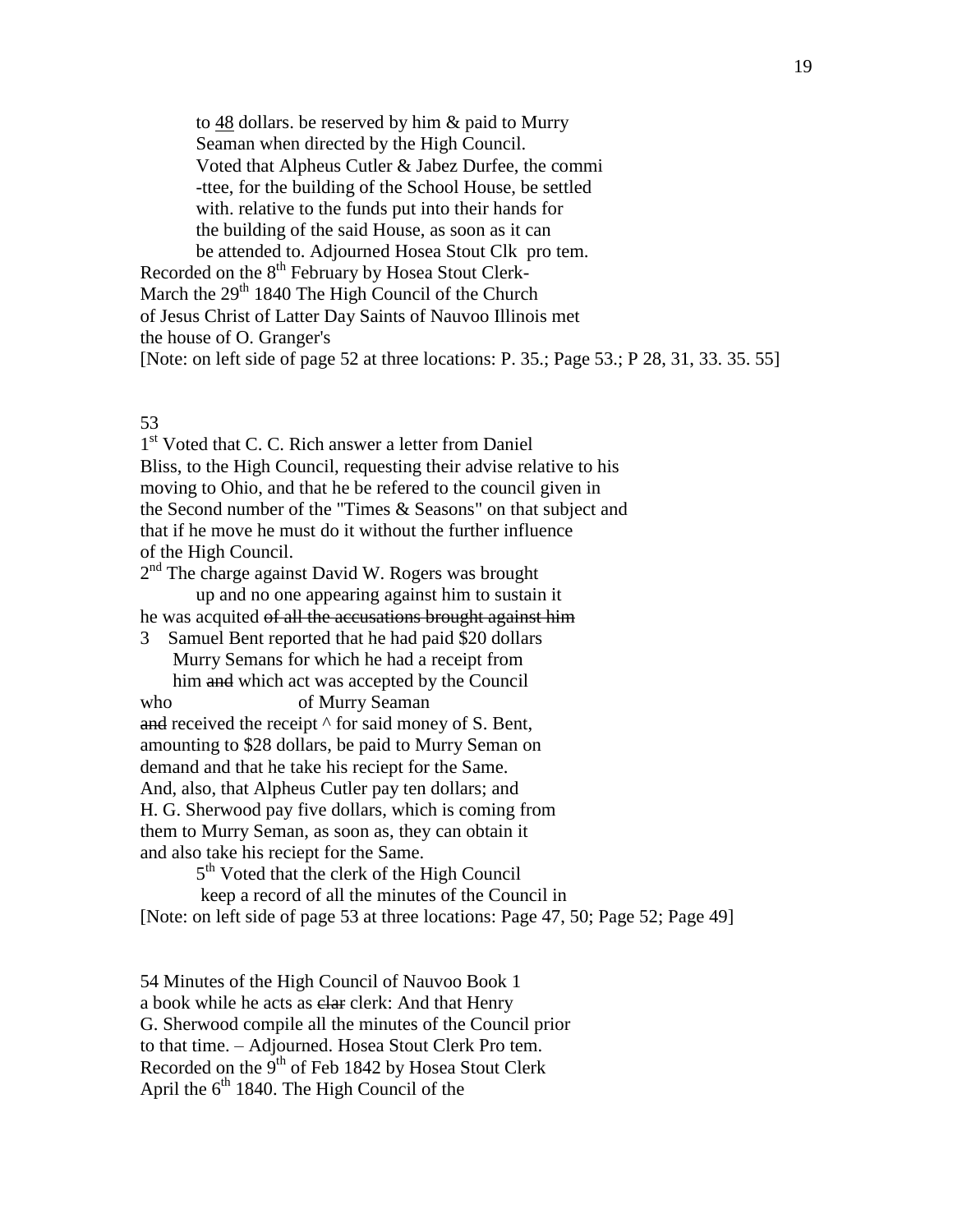to  $48$  dollars. be reserved by him & paid to Murry Seaman when directed by the High Council. Voted that Alpheus Cutler & Jabez Durfee, the commi -ttee, for the building of the School House, be settled with. relative to the funds put into their hands for the building of the said House, as soon as it can be attended to. Adjourned Hosea Stout Clk pro tem.

Recorded on the 8<sup>th</sup> February by Hosea Stout Clerk-March the  $29<sup>th</sup> 1840$  The High Council of the Church of Jesus Christ of Latter Day Saints of Nauvoo Illinois met the house of O. Granger's [Note: on left side of page 52 at three locations: P. 35.; Page 53.; P 28, 31, 33. 35. 55]

# 53

1<sup>st</sup> Voted that C. C. Rich answer a letter from Daniel Bliss, to the High Council, requesting their advise relative to his moving to Ohio, and that he be refered to the council given in the Second number of the "Times & Seasons" on that subject and that if he move he must do it without the further influence of the High Council.

2<sup>nd</sup> The charge against David W. Rogers was brought up and no one appearing against him to sustain it he was acquited of all the accusations brought against him

3 Samuel Bent reported that he had paid \$20 dollars Murry Semans for which he had a receipt from him and which act was accepted by the Council

who of Murry Seaman and received the receipt  $\wedge$  for said money of S. Bent, amounting to \$28 dollars, be paid to Murry Seman on demand and that he take his reciept for the Same. And, also, that Alpheus Cutler pay ten dollars; and H. G. Sherwood pay five dollars, which is coming from them to Murry Seman, as soon as, they can obtain it and also take his reciept for the Same.

5<sup>th</sup> Voted that the clerk of the High Council

keep a record of all the minutes of the Council in [Note: on left side of page 53 at three locations: Page 47, 50; Page 52; Page 49]

54 Minutes of the High Council of Nauvoo Book 1 a book while he acts as clar clerk: And that Henry G. Sherwood compile all the minutes of the Council prior to that time. – Adjourned. Hosea Stout Clerk Pro tem. Recorded on the 9<sup>th</sup> of Feb 1842 by Hosea Stout Clerk April the  $6<sup>th</sup>$  1840. The High Council of the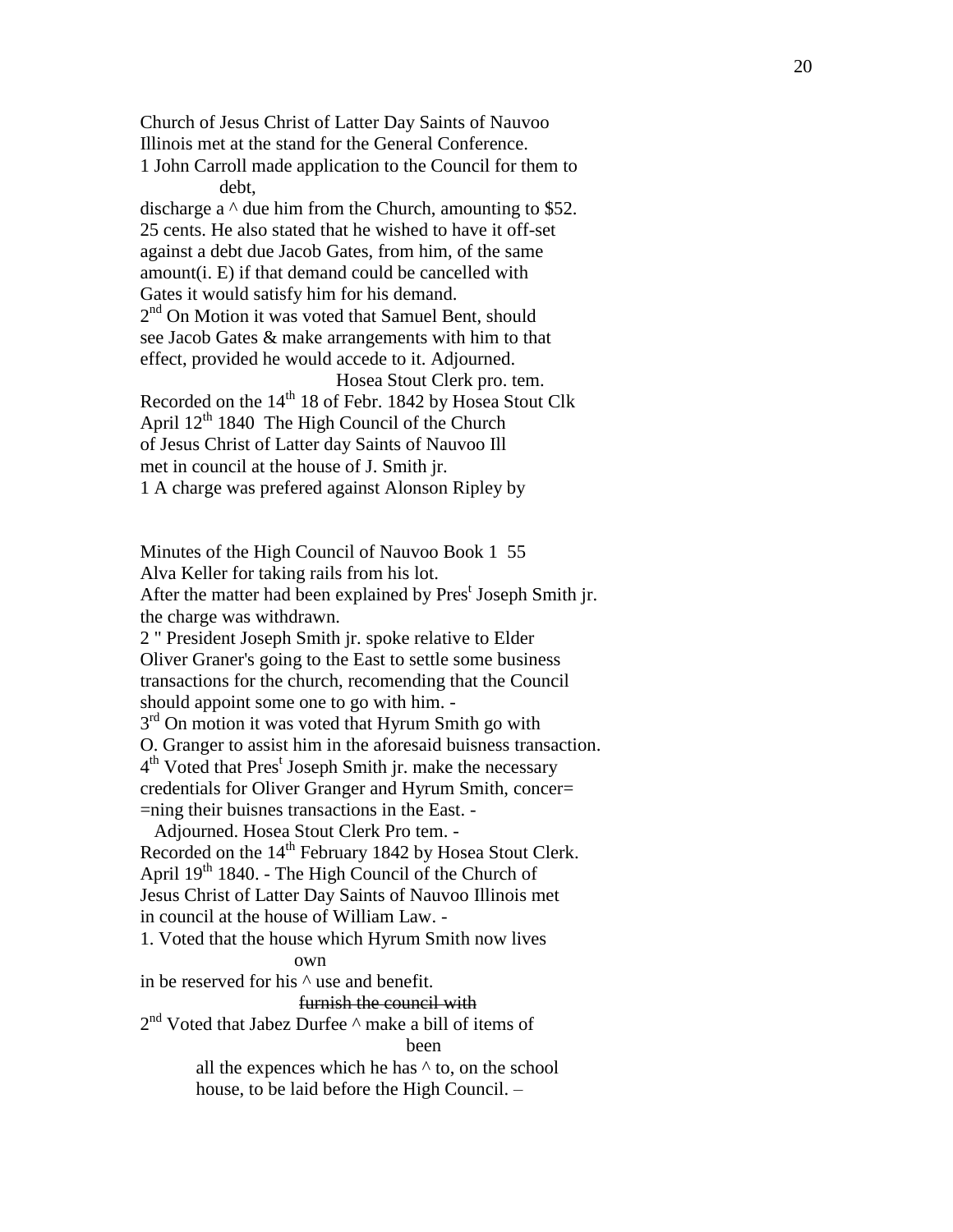Church of Jesus Christ of Latter Day Saints of Nauvoo Illinois met at the stand for the General Conference. 1 John Carroll made application to the Council for them to debt, discharge a  $\land$  due him from the Church, amounting to \$52. 25 cents. He also stated that he wished to have it off-set against a debt due Jacob Gates, from him, of the same amount(i . E) if that demand could be cancelled with Gates it would satisfy him for his demand. 2<sup>nd</sup> On Motion it was voted that Samuel Bent, should see Jacob Gates & make arrangements with him to that effect , provided he would accede to it. Adjourned . Hosea Stout Clerk pro. tem. Recorded on the 14<sup>th</sup> 18 of Febr. 1842 by Hosea Stout Clk April  $12<sup>th</sup>$  1840 The High Council of the Church of Jesus Christ of Latter day Saints of Nauvoo Ill met in council at the house of J. Smith jr. 1 A charge was prefered against Alonson Ripley by

Minutes of the High Council of Nauvoo Book 1 55 Alva Keller for taking rails from his lot. After the matter had been explained by Pres<sup>t</sup> Joseph Smith jr. the charge was withdrawn.

2 " President Joseph Smith jr. spoke relative to Elder Oliver Graner's going to the East to settle some business transactions for the church, recomending that the Council should appoint some one to go with him. -

3<sup>rd</sup> On motion it was voted that Hyrum Smith go with O. Granger to assist him in the aforesaid buisness transaction. 4<sup>th</sup> Voted that Pres<sup>t</sup> Joseph Smith jr. make the necessary credentials for Oliver Granger and Hyrum Smith, concer= =ning their buisnes transactions in the East. -

 Adjourned. Hosea Stout Clerk Pro tem. - Recorded on the 14<sup>th</sup> February 1842 by Hosea Stout Clerk. April  $19<sup>th</sup> 1840$ . - The High Council of the Church of Jesus Christ of Latter Day Saints of Nauvoo Illinois met in council at the house of William Law . -

1. Voted that the house which Hyrum Smith now lives

## own

in be reserved for his ^ use and benefit.

# furnish the council with

# 2<sup>nd</sup> Voted that Jabez Durfee ^ make a bill of items of

been

all the expences which he has ^ to, on the school house, to be laid before the High Council. –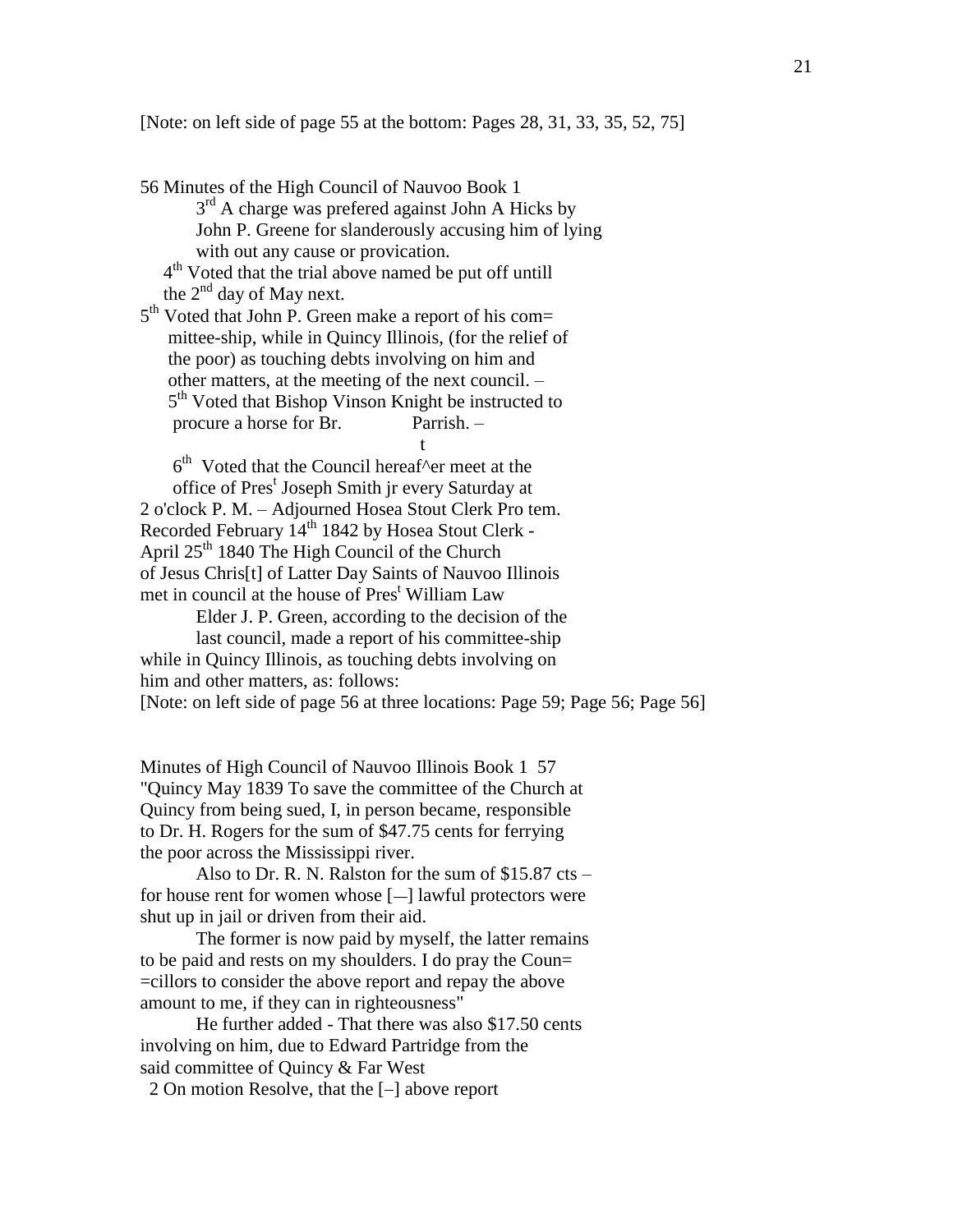[Note: on left side of page 55 at the bottom: Pages 28, 31, 33, 35, 52, 75]

56 Minutes of the High Council of Nauvoo Book 1 3<sup>rd</sup> A charge was prefered against John A Hicks by John P. Greene for slanderously accusing him of lying with out any cause or provication.

 4 th Voted that the trial above named be put off untill the  $2<sup>nd</sup>$  day of May next.

5<sup>th</sup> Voted that John P. Green make a report of his com= mittee-ship, while in Quincy Illinois, (for the relief of the poor) as touching debts involving on him and other matters, at the meeting of the next council. – 5<sup>th</sup> Voted that Bishop Vinson Knight be instructed to procure a horse for Br. Parrish. – t<sub>a</sub> a control de la control de la control de la control de la control de la control de la control de la control de<br>En 1918, en 1918, en 1919, en 1919, en 1919, en 1919, en 1919, en 1919, en 1919, en 1919, en 1919, en 1919

 $6<sup>th</sup>$  Voted that the Council hereaf^er meet at the office of Pres<sup>t</sup> Joseph Smith jr every Saturday at 2 o'clock P. M. – Adjourned Hosea Stout Clerk Pro tem. Recorded February 14<sup>th</sup> 1842 by Hosea Stout Clerk -April 25<sup>th</sup> 1840 The High Council of the Church of Jesus Chris[t] of Latter Day Saints of Nauvoo Illinois met in council at the house of Pres<sup>t</sup> William Law

Elder J. P. Green, according to the decision of the

last council, made a report of his committee-ship while in Quincy Illinois, as touching debts involving on him and other matters, as: follows: [Note: on left side of page 56 at three locations: Page 59; Page 56; Page 56]

Minutes of High Council of Nauvoo Illinois Book 1 57 "Quincy May 1839 To save the committee of the Church at Quincy from being sued, I, in person became, responsible to Dr. H. Rogers for the sum of \$47.75 cents for ferrying the poor across the Mississippi river.

Also to Dr. R. N. Ralston for the sum of \$15.87 cts – for house rent for women whose  $[-]$  lawful protectors were shut up in jail or driven from their aid.

The former is now paid by myself, the latter remains to be paid and rests on my shoulders. I do pray the Coun= =cillors to consider the above report and repay the above amount to me, if they can in righteousness"

He further added - That there was also \$17.50 cents involving on him, due to Edward Partridge from the said committee of Quincy & Far West

2 On motion Resolve, that the  $[-]$  above report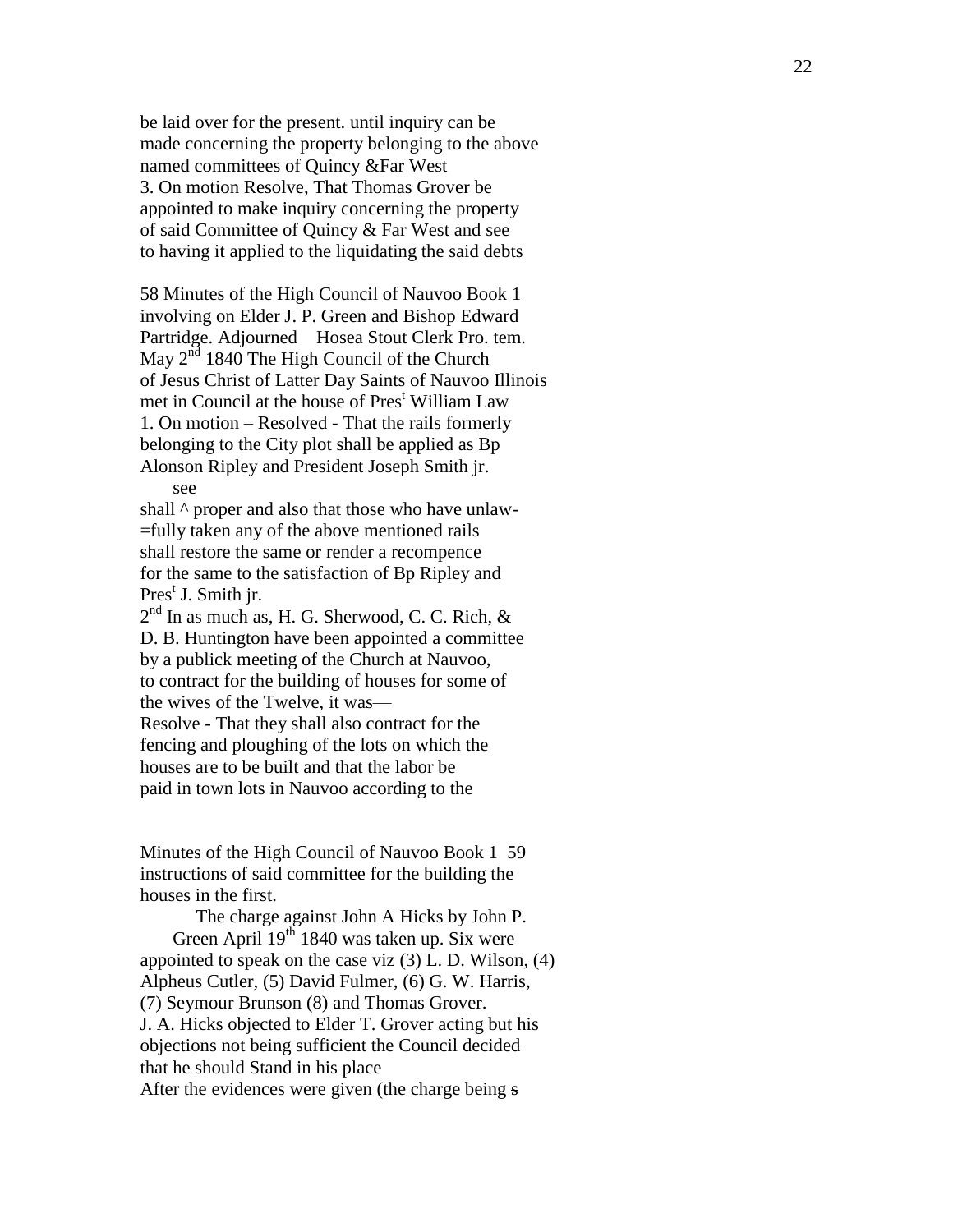be laid over for the present. until inquiry can be made concerning the property belonging to the above named committees of Quincy &Far West 3. On motion Resolve, That Thomas Grover be appointed to make inquiry concerning the property of said Committee of Quincy & Far West and see to having it applied to the liquidating the said debts

58 Minutes of the High Council of Nauvoo Book 1 involving on Elder J . P. Green and Bishop Edward Partridge. Adjourned Hosea Stout Clerk Pro. tem. May  $2^{\overline{nd}}$  1840 The High Council of the Church of Jesus Christ of Latter Day Saints of Nauvoo Illinois met in Council at the house of Pres <sup>t</sup> William Law 1. On motion – Resolved - That the rails formerly belonging to the City plot shall be applied as Bp Alonson Ripley and President Joseph Smith jr . see

shall  $\wedge$  proper and also that those who have unlaw-=fully taken any of the above mentioned rails shall restore the same or render a recompence for the same to the satisfaction of Bp Ripley and Pres<sup>t</sup> J. Smith jr.

 $2<sup>nd</sup>$  In as much as, H. G. Sherwood, C. C. Rich, & D . B. Huntington have been appointed a committee by a publick meeting of the Church at Nauvoo, to contract for the building of houses for some of the wives of the Twelve , it was — Resolve - That the y shall also contract for the fencing and ploughing of the lots on which the houses are to be built and that the labor be paid in town lots in Nauvoo according to the

Minutes of the High Council of Nauvoo Book 1 59 instructions of said committee for the building the houses in the first.

The charge against John A Hicks by John P. Green April  $19^{th}$  1840 was taken up. Six were appointed to speak on the case viz (3) L . D. Wilson, (4) Alpheus Cutler, (5) David Fulmer, (6) G . W. Harris, (7) Seymour Brunson (8) and Thomas Grover . J . A . Hicks objected to Elder T . Grover acting but his objections not being sufficient the Council decided that he should Stand in his place After the evidences were given (the charge being s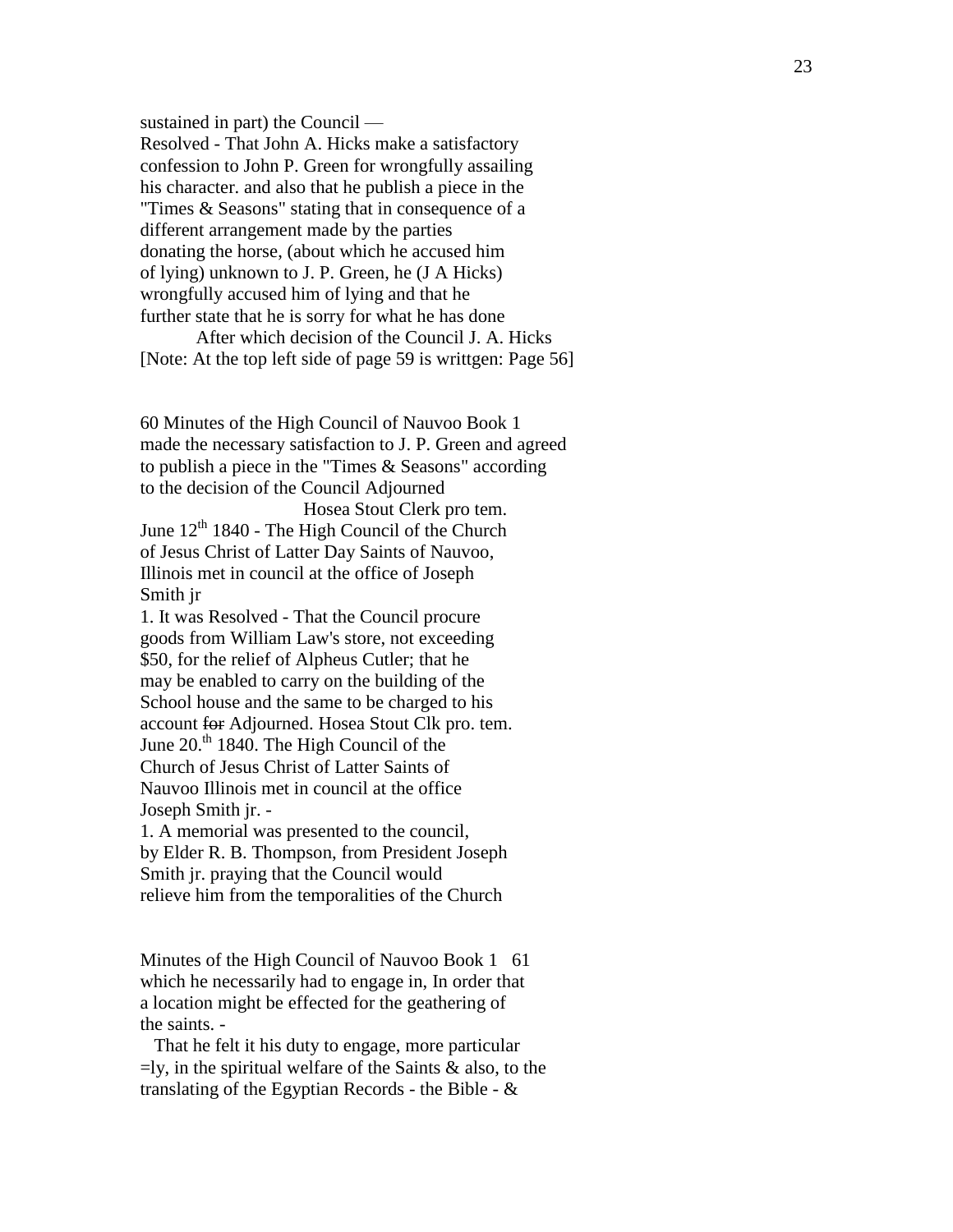sustained in part) the Council — Resolved - That John A. Hicks make a satisfactory confession to John P. Green for wrongfully assailing his character. and also that he publish a piece in the "Times & Seasons" stating that in consequence of a different arrangement made by the parties donating the horse , (about which he accused him of lying) unknown to J. P. Green, he (J A Hicks) wrongfully accused him of lying and that he further state that he is sorry for what he has done

After which decision of the Council J. A. Hicks [Note: At the top left side of page 59 is writtgen: Page 56]

60 Minutes of the High Council of Nauvoo Book 1 made the necessary satisfaction to J . P. Green and agreed to publish a piece in the "Times & Seasons " according to the decision of the Council Adjourned

 Hosea Stout Clerk pro tem. June  $12<sup>th</sup> 1840$  - The High Council of the Church of Jesus Christ of Latter Day Saints of Nauvoo , Illinois met in council at the office of Joseph Smith jr

1. It was Resolved - That the Council procure goods from William Law's store , not exceeding \$50, for the relief of Alpheus Cutler; that he may be enabled to carry on the building of the School house and the same to be charged to his account for Adjourned. Hosea Stout Clk pro. tem. June 20.<sup>th</sup> 1840. The High Council of the Church of Jesus Christ of Latter Saints of Nauvoo Illinois met in council at the office Joseph Smith jr. -

1. A memorial was presented to the council, by Elder R. B. Thompson, from President Joseph Smith jr. praying that the Council would relieve him from the temporalities of the Churc h

Minutes of the High Council of Nauvoo Book 1 61 which he necessarily had to engage in, In order that a location might be effected for the geathering of the saints. -

 That he felt it his duty to engage, more particular  $=$ ly, in the spiritual welfare of the Saints  $\&$  also, to the translating of the Egyptian Records - the Bible -  $\&$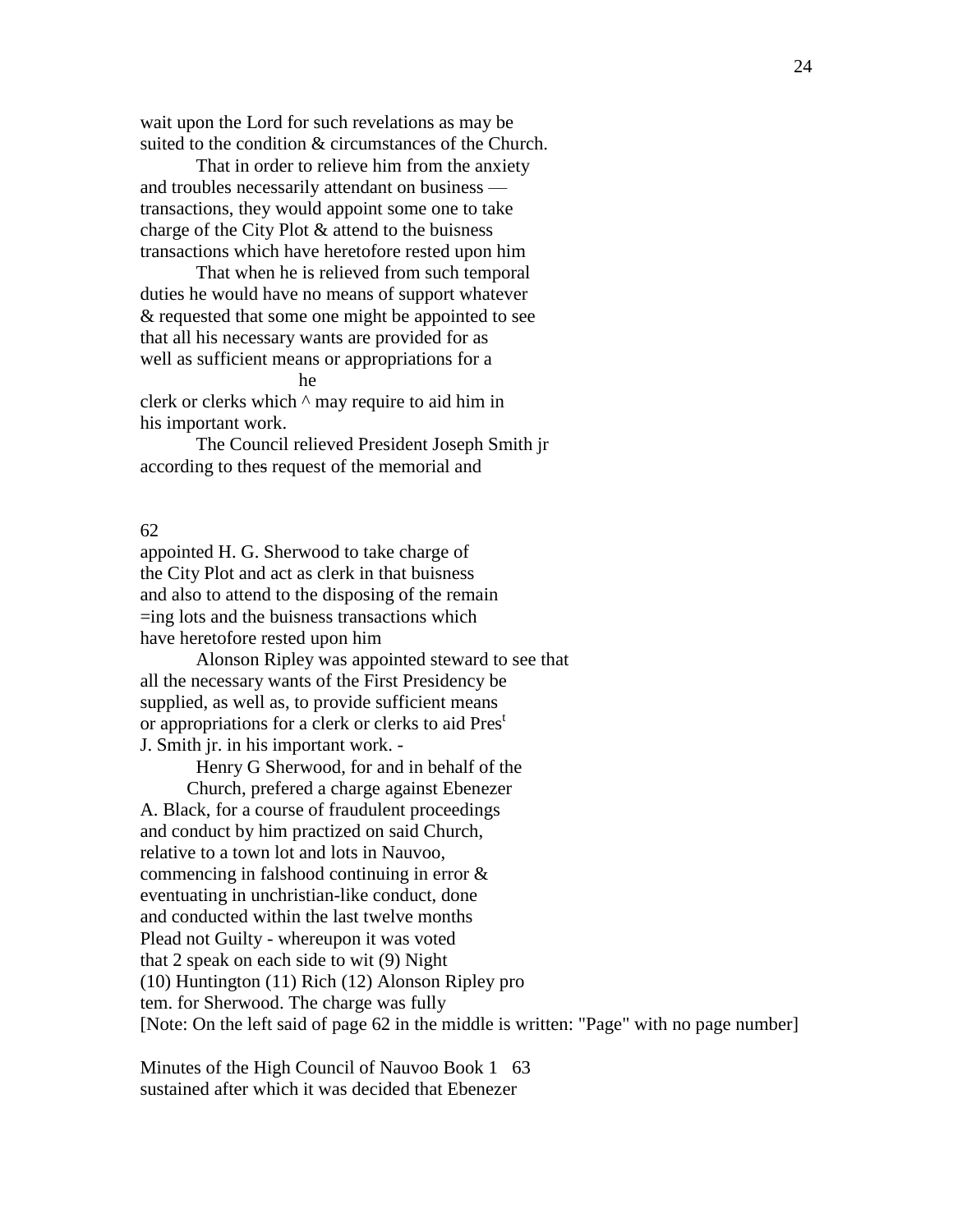wait upon the Lord for such revelations as may be suited to the condition & circumstances of the Church.

That in order to relieve him from the anxiety and troubles necessarily attendant on business transactions, they would appoint some one to take charge of the City Plot & attend to the buisness transactions which have heretofore rested upon him

That when he is relieved from such temporal duties he would have no means of support whatever & requested that some one might be appointed to see that all his necessary wants are provided for as well as sufficient means or appropriations for a he was a strategies of the strategies of the strategies of the strategies of the strategies of the strategies of the strategies of the strategies of the strategies of the strategies of the strategies of the strategies of t

clerk or clerks which ^ may require to aid him in his important work.

The Council relieved President Joseph Smith jr according to thes request of the memorial and

#### 62

appointed H. G. Sherwood to take charge of the City Plot and act as clerk in that buisness and also to attend to the disposing of the remain =ing lots and the buisness transactions which have heretofore rested upon him

Alonson Ripley was appointed steward to see that all the necessary wants of the First Presidency be supplied, as well as, to provide sufficient means or appropriations for a clerk or clerks to aid Pres<sup>t</sup> J. Smith jr. in his important work. -

> Henry G Sherwood, for and in behalf of the Church, prefered a charge against Ebenezer

A. Black, for a course of fraudulent proceedings and conduct by him practized on said Church, relative to a town lot and lots in Nauvoo, commencing in falshood continuing in error & eventuating in unchristian-like conduct, done and conducted within the last twelve months Plead not Guilty - whereupon it was voted that 2 speak on each side to wit (9) Night (10) Huntington (11) Rich (12) Alonson Ripley pro tem. for Sherwood. The charge was fully [Note: On the left said of page 62 in the middle is written: "Page" with no page number]

Minutes of the High Council of Nauvoo Book 1 63 sustained after which it was decided that Ebenezer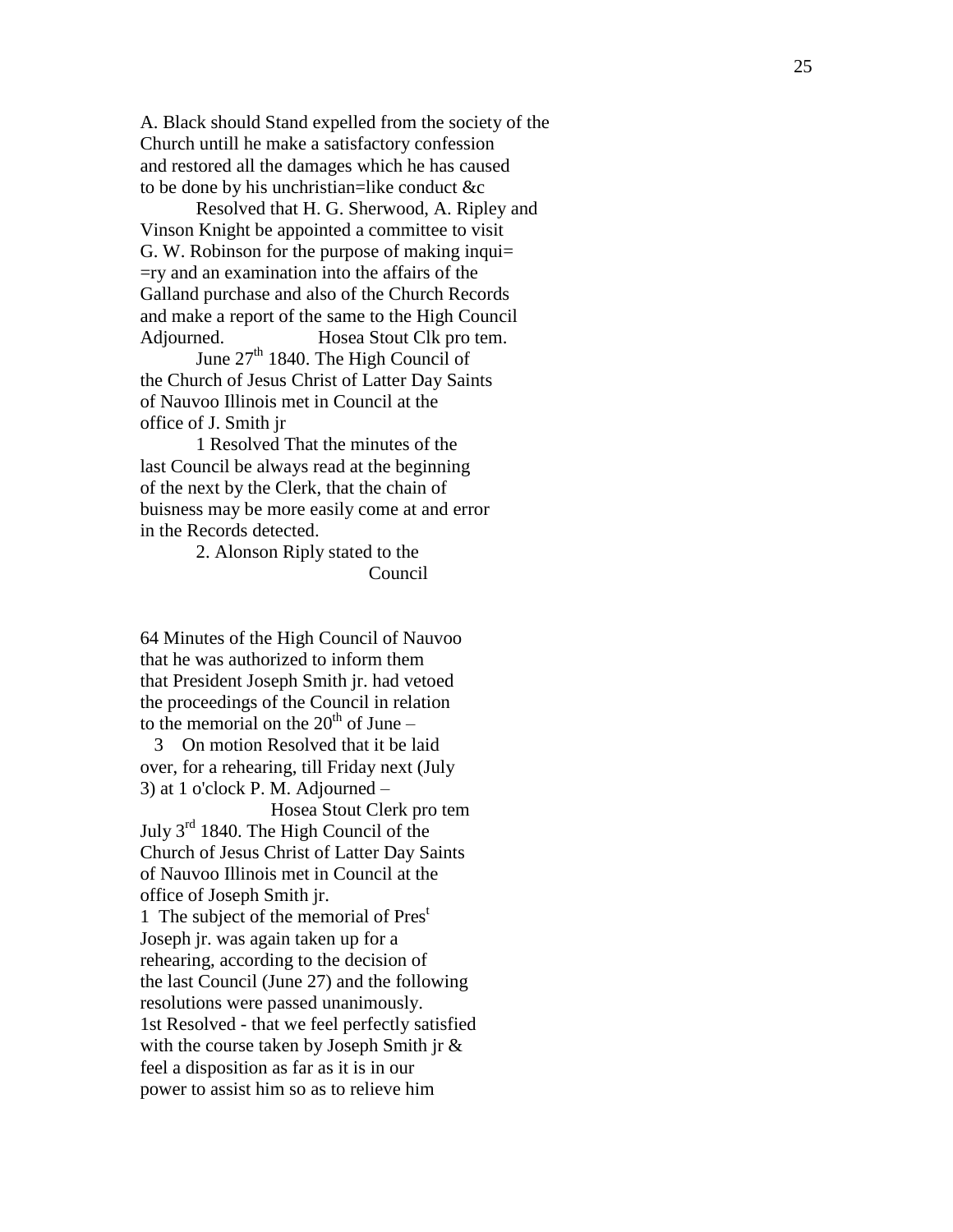A. Black should Stand expelled from the society of the Church untill he make a satisfactory confession and restored all the damages which he has caused to be done by his unchristian=like conduct &c

Resolved that H . G. Sherwood, A . Ripley and Vinson Knight be appointed a committee to visit G. W. Robinson for the purpose of making inqui $=$ =ry and an examination into the affairs of the Galland purchase and also of the Church Records and make a report of the same to the High Council Adjourned. Hosea Stout Clk pro tem.

June 27<sup>th</sup> 1840. The High Council of the Church of Jesus Christ of Latter Day Saints of Nauvoo Illinois met in Council at the office of J. Smith jr

1 Resolved That the minutes of the last Council be always read at the begin ning of the next by the Clerk, that the chain of bu isness may be more easily come at and error in the Records detected.

2. Alonson Riply stated to the Council

64 Minutes of the High Council of Nauvoo that he was authorized to inform them that President Joseph Smith jr. had vetoed the proceedings of the Council in relation to the memorial on the  $20<sup>th</sup>$  of June –

 3 On motion Resolved that it be laid over, for a rehearing, till Friday next (July 3) at 1 o'clock P. M. Adjourned –

 Hosea Stout Clerk pro tem July  $3<sup>rd</sup>$  1840. The High Council of the Church of Jesus Christ of Latter Day Saints of Nauvoo Illinois met in Council at the office of Joseph Smith jr.

1 The subject of the memorial of Pres<sup>t</sup> Joseph jr . was again taken up for a rehearing, according to the decision of the last Council (June 27) and the following resolutions were passed unanimously. 1st Resolved - that we feel perfectly satisfied with the course taken by Joseph Smith jr & feel a disposition as far as it is in our power to assist him so as to relieve him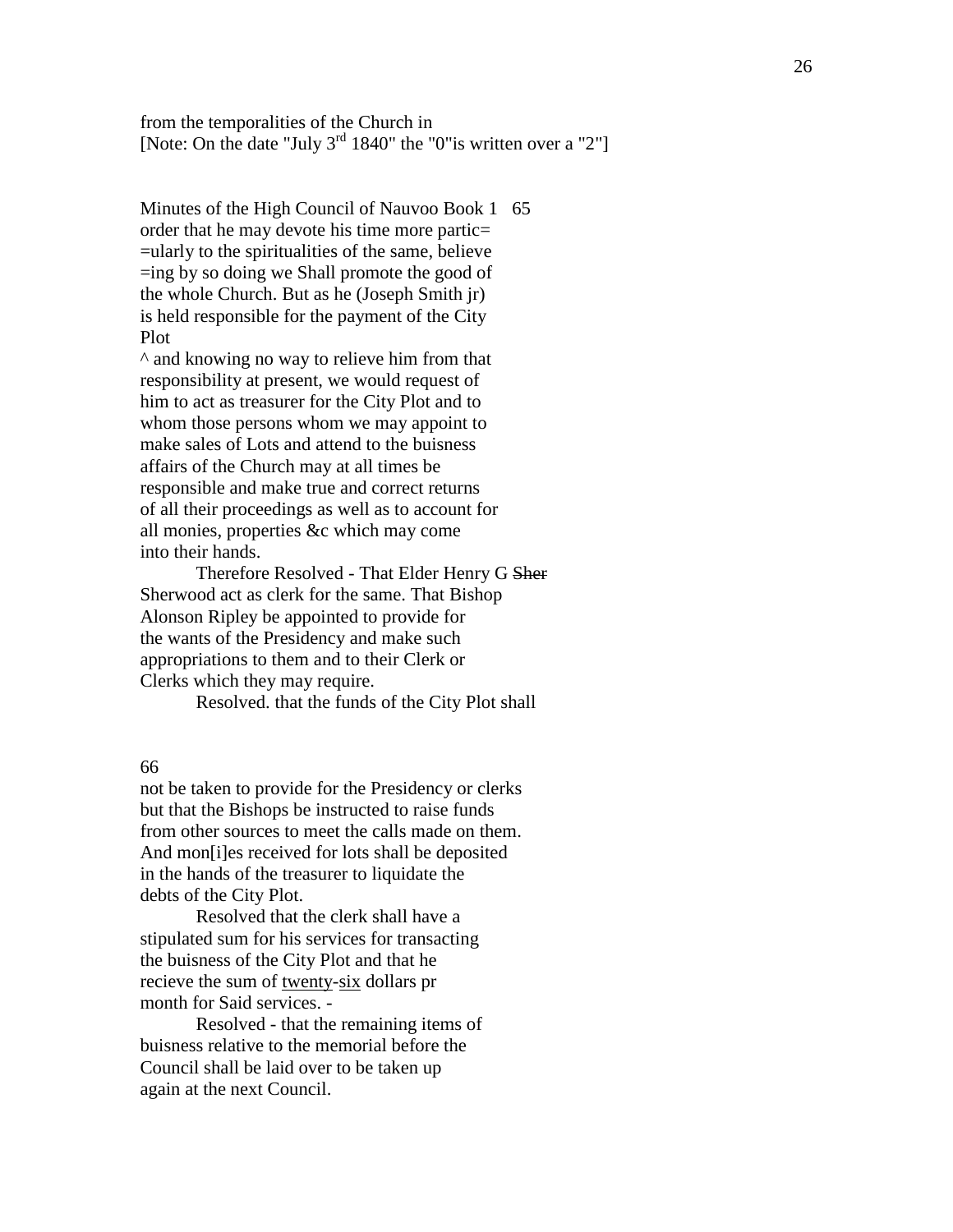from the temporalities of the Church in [Note: On the date "July 3<sup>rd</sup> 1840" the "0" is written over a "2"]

Minutes of the High Council of Nauvoo Book 1 65 order that he may devote his time more partic= =ularly to the spiritualities of the same, believe =ing by so doing we Shall promote the good of the whole Church. But as he (Joseph Smith jr) is held responsible for the payment of the City Plot

^ and knowing no way to relieve him from that responsibility at present, we would request of him to act as treasurer for the City Plot and to whom those persons whom we may appoint to make sales of Lots and attend to the buisness affairs of the Church may at all times be responsible and make true and correct returns of all their proceedings as well as to account for all monies, properties &c which may come into their hands.

Therefore Resolved - That Elder Henry G Sher Sherwood act as clerk for the same. That Bishop Alonson Ripley be appointed to provide for the wants of the Presidency and make such appropriations to them and to their Clerk or Clerks which they may require.

Resolved. that the funds of the City Plot shall

## 66

not be taken to provide for the Presidency or clerks but that the Bishops be instructed to raise funds from other sources to meet the calls made on them. And mon[i]es received for lots shall be deposited in the hands of the treasurer to liquidate the debts of the City Plot.

Resolved that the clerk shall have a stipulated sum for his services for transacting the buisness of the City Plot and that he recieve the sum of twenty-six dollars pr month for Said services. -

Resolved - that the remaining items of buisness relative to the memorial before the Council shall be laid over to be taken up again at the next Council.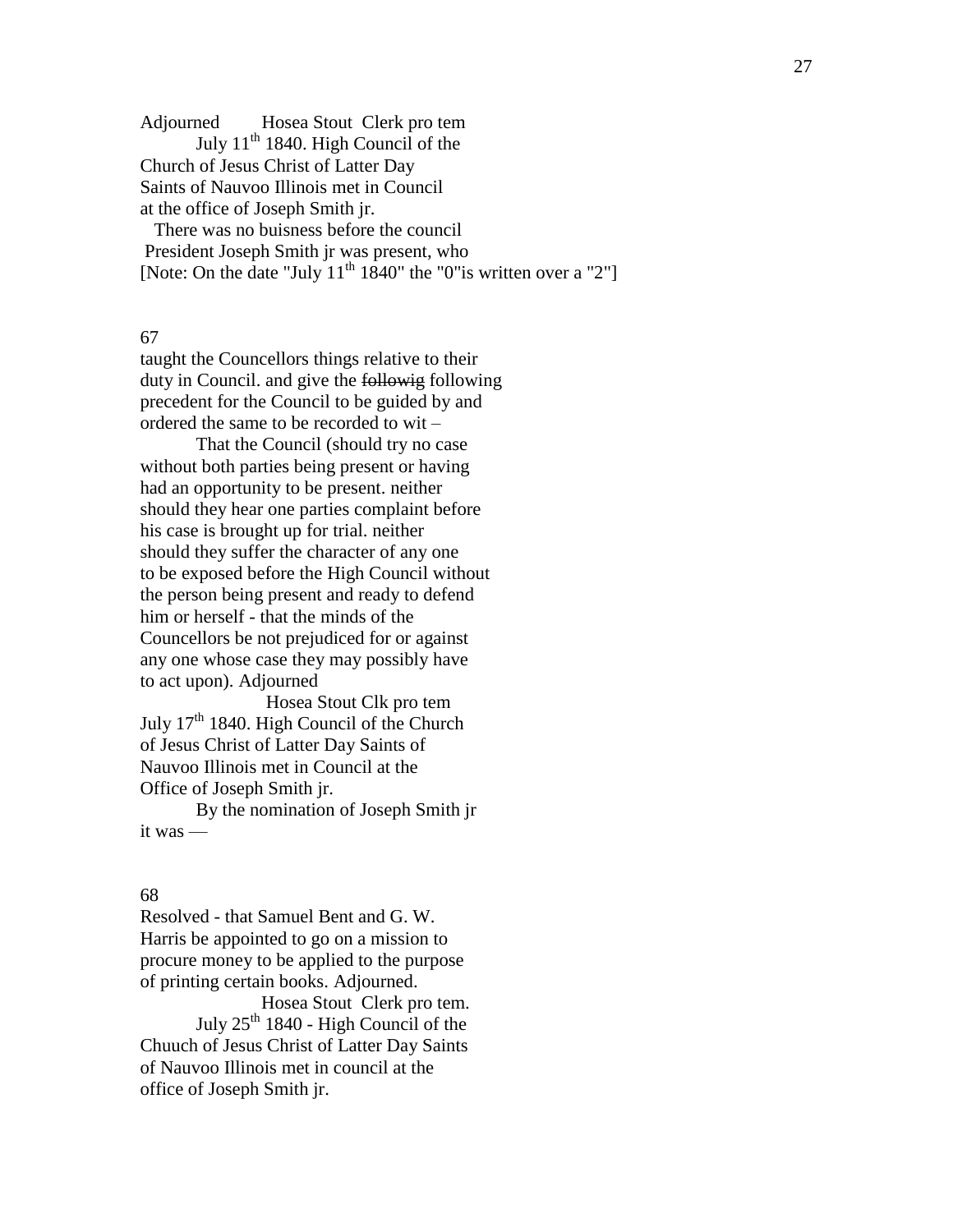Adjourned Hosea Stout Clerk pro tem

July  $11<sup>th</sup>$  1840. High Council of the Church of Jesus Christ of Latter Day Saints of Nauvoo Illinois met in Council at the office of Joseph Smith jr.

 There was no buisness before the council President Joseph Smith jr was present, who [Note: On the date "July  $11<sup>th</sup> 1840$ " the "0"is written over a "2"]

#### 67

taught the Councellors things relative to their duty in Council. and give the following following precedent for the Council to be guided by and ordered the same to be recorded to wit –

That the Council (should try no case without both parties being present or having had an opportunity to be present. neither should they hear one parties complaint before his case is brought up for trial. neither should they suffer the character of any one to be exposed before the High Council without the person being present and ready to defend him or herself - that the minds of the Councellors be not prejudiced for or against any one whose case they may possibly have to act upon). Adjourned

 Hosea Stout Clk pro tem July 17<sup>th</sup> 1840. High Council of the Church of Jesus Christ of Latter Day Saints of Nauvoo Illinois met in Council at the Office of Joseph Smith jr.

By the nomination of Joseph Smith jr it was —

#### 68

Resolved - that Samuel Bent and G. W. Harris be appointed to go on a mission to procure money to be applied to the purpose of printing certain books. Adjourned.

 Hosea Stout Clerk pro tem. July 25<sup>th</sup> 1840 - High Council of the Chuuch of Jesus Christ of Latter Day Saints of Nauvoo Illinois met in council at the office of Joseph Smith jr.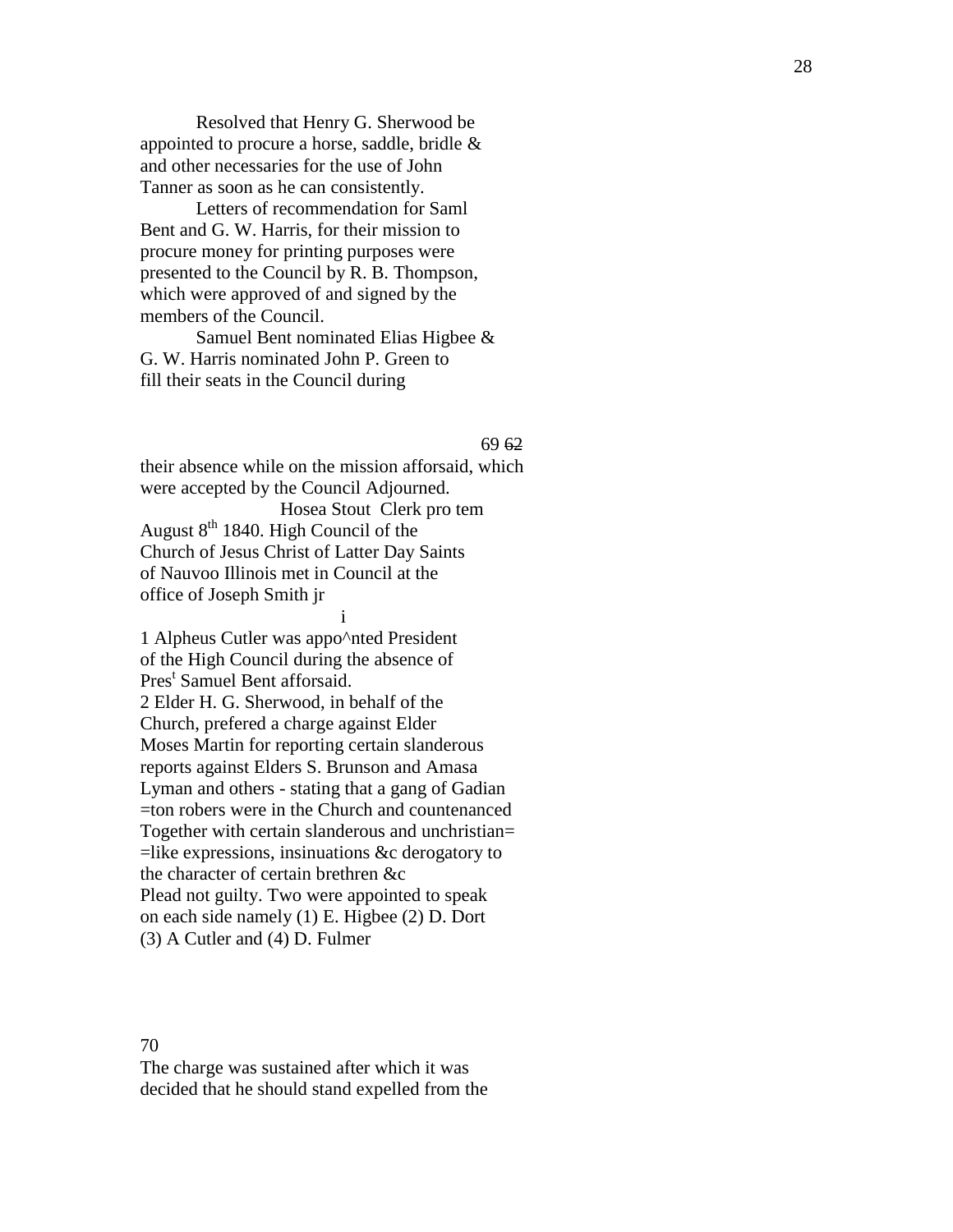Resolved that Henry G. Sher wood be appointed to procure a horse, saddle, bridle & and other necessaries for the use of John Tanner as soon as he can consistently .

Letters of recommendation for Saml Bent and G . W. Harris, for their mission to procure money for printing purposes were presented to the Council by R. B. Thompson, which were approved of and signed by the members of the Council.

Samuel Bent nominated Elias Higbee & G . W. Harris nominated John P. Green to fill their seats in the Council during

 $69\,62$ 

their absence while on the mission afforsaid, which were accepted by the Council Adjourned . Hosea Stout Clerk pro tem August  $8<sup>th</sup>$  1840. High Council of the Church of Jesus Christ of Latter Day Saints of Nauvoo Illinois met in Council at the office of Joseph Smith jr

## i

1 Alpheus Cutler was appo^nted President of the High Council during the absence of Pres<sup>t</sup> Samuel Bent afforsaid. 2 Elder H. G. Sherwood , in behalf of the Church , prefered a charge against Elder Moses Martin for reporting certain slanderous reports against Elder s S. Brunson and Amasa Lyman and others - stating that a gang of Gadian =ton robers were in the Church and countenanced Together with certain slanderous and unchristian= =like expressions, insinuations &c derogatory to the character of certain brethren &c Plead not guilty. Two were appointed to speak on each side namely (1) E. Higbee (2) D. Dort (3) A Cutler and (4) D. Fulmer

# 70

The charge was sustained after which it was decided that he should stand expelled from the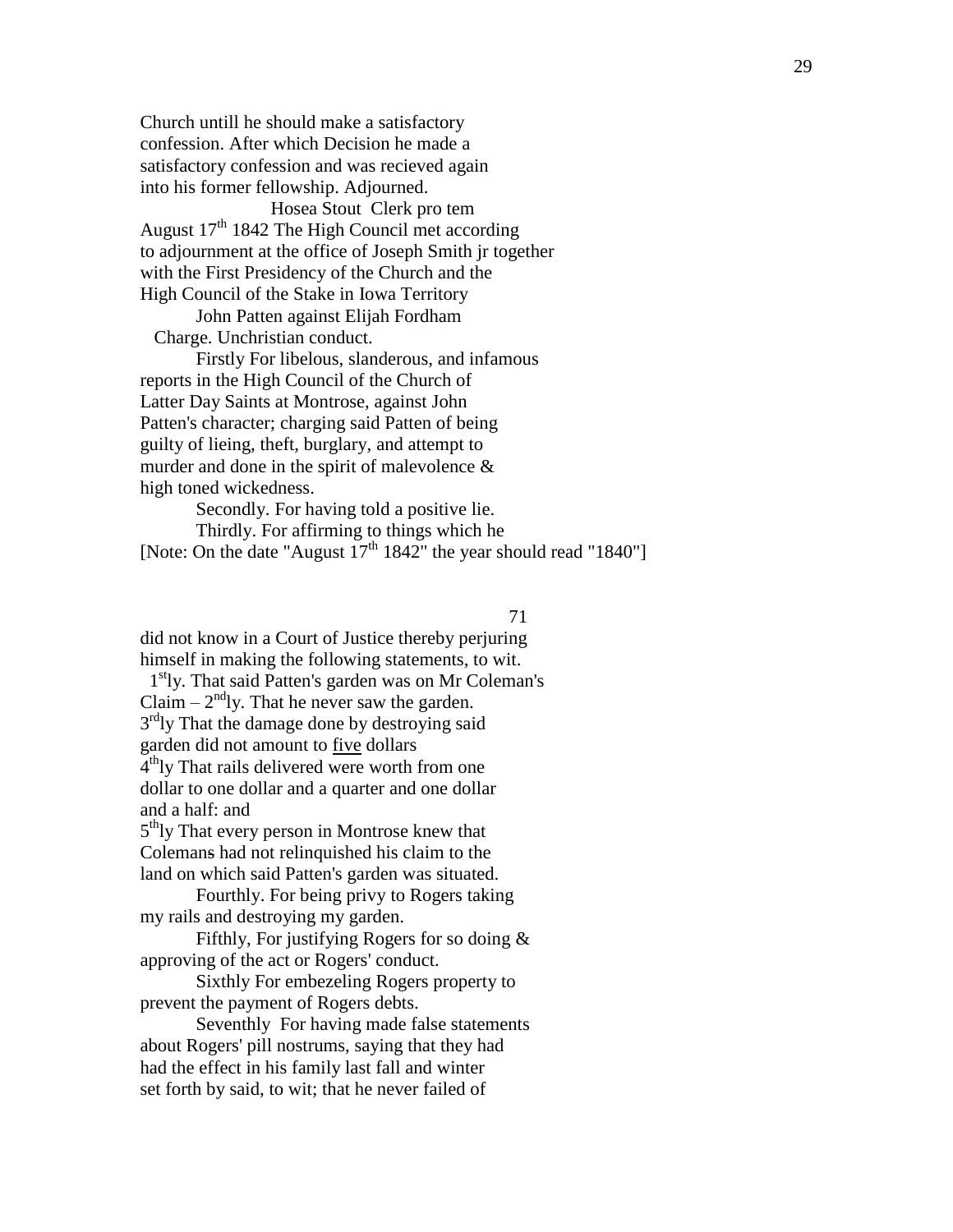Church untill he should make a satisfactory confession. After which Decision he made a satisfactory confession and was recieved again into his former fellowship. Adjourned.

 Hosea Stout Clerk pro tem August 17<sup>th</sup> 1842 The High Council met according to adjournment at the office of Joseph Smith jr together with the First Presidency of the Church and the High Council of the Stake in Iowa Territory

John Patten against Elijah Fordham Charge. Unchristian conduct.

Firstly For libelous, slanderous, and infamous reports in the High Council of the Church of Latter Day Saints at Montrose, against John Patten's character; charging said Patten of being guilty of lieing, theft, burglary, and attempt to murder and done in the spirit of malevolence  $\&$ high toned wickedness.

Secondly. For having told a positive lie. Thirdly. For affirming to things which he [Note: On the date "August  $17<sup>th</sup> 1842$ " the year should read "1840"]

## 71

did not know in a Court of Justice thereby perjuring himself in making the following statements, to wit.

1<sup>st</sup>ly. That said Patten's garden was on Mr Coleman's Claim  $-2<sup>nd</sup>$ ly. That he never saw the garden. 3<sup>rd</sup>ly That the damage done by destroying said garden did not amount to five dollars 4<sup>th</sup>ly That rails delivered were worth from one dollar to one dollar and a quarter and one dollar and a half: and

5<sup>th</sup>ly That every person in Montrose knew that Colemans had not relinquished his claim to the land on which said Patten's garden was situated.

Fourthly. For being privy to Rogers taking my rails and destroying my garden.

Fifthly, For justifying Rogers for so doing & approving of the act or Rogers' conduct.

Sixthly For embezeling Rogers property to prevent the payment of Rogers debts.

Seventhly For having made false statements about Rogers' pill nostrums, saying that they had had the effect in his family last fall and winter set forth by said, to wit; that he never failed of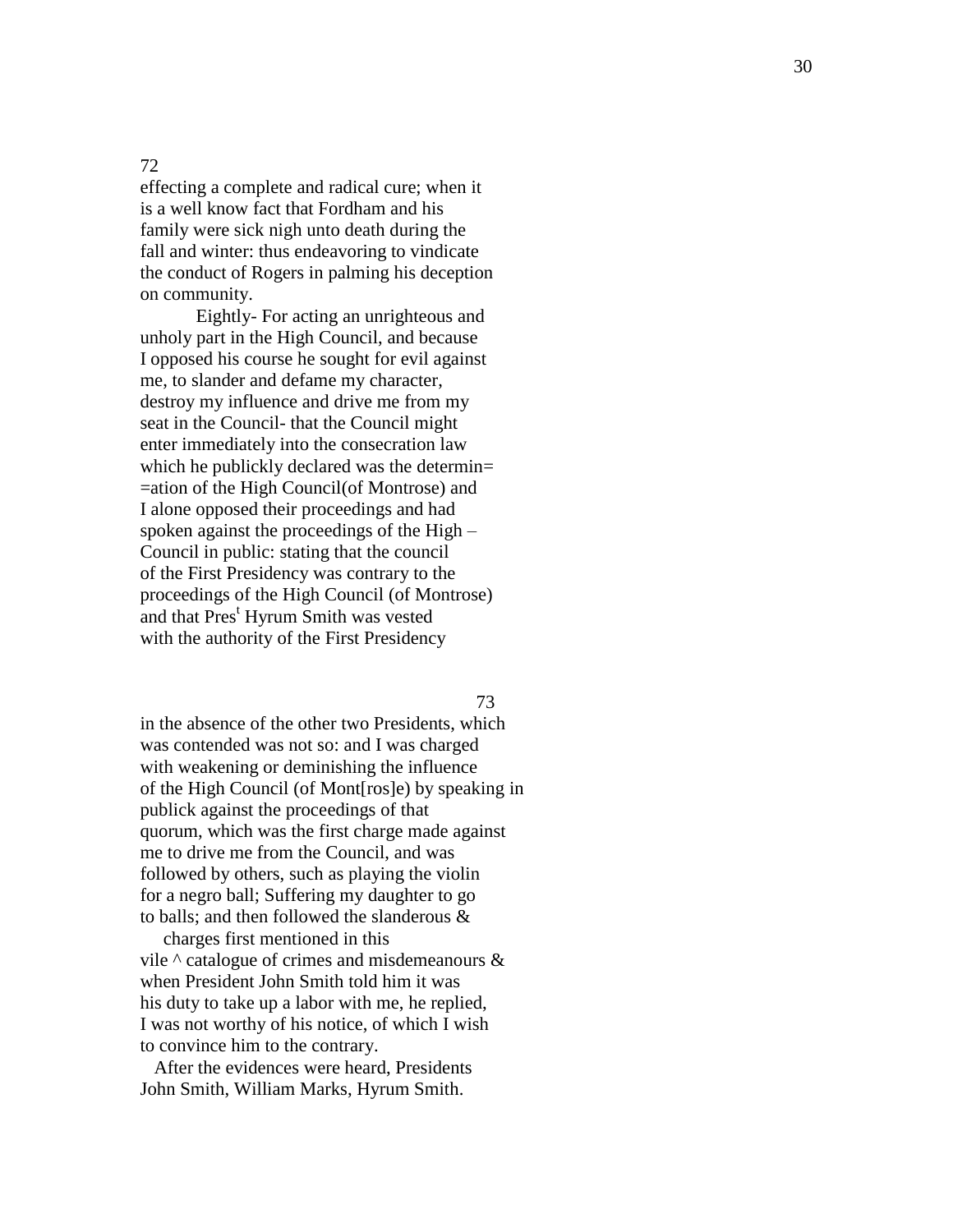# 72

effecting a complete and radical cure; when it is a well know fact that Fordham and his family were sick nigh unto death during the fall and winter: thus endeavoring to vindicate the conduct of Rogers in palming his dec eption on community.

Eightly - For acting an unrighteous and unholy part in the High Council, and because I opposed his course he sought for evil against me, to slander and defame my character , destroy my influence and drive me from my seat in the Council- that the Council might enter immediately into the consecration law which he publickly declared was the determin= =ation of the High Council(of Montrose) and I alone opposed their proceedings and had spoken against the proceedings of the High -Council in public : stating that the council of the First Presidency was contrary to the proce edings of the High Council (of Montrose) and that Pres<sup>t</sup> Hyrum Smith was vested with the authority of the First Presidency

73

in the absence of the other two Presidents, which was contended was not so: and I was charged with weakening or deminishing the influence of the High Council (of Mont[ros]e) by speaking in public k against the proce edings of that quorum, which was the first charge made against me to drive me from the Council, and was followed by others, such as playing the violin for a negro ball; Suffering my daughter to go to balls; and then followed the slanderous &

 charges first mentioned in this vile  $\wedge$  catalogue of crimes and misdemeanours  $\&$ when President John Smith told him it was his duty to take up a labor with me, he replied, I was not worthy of his notice, of which I wish to convince him to the contrary.

 After the evidences were heard , Presidents John Smith, William Marks, Hyrum Smith .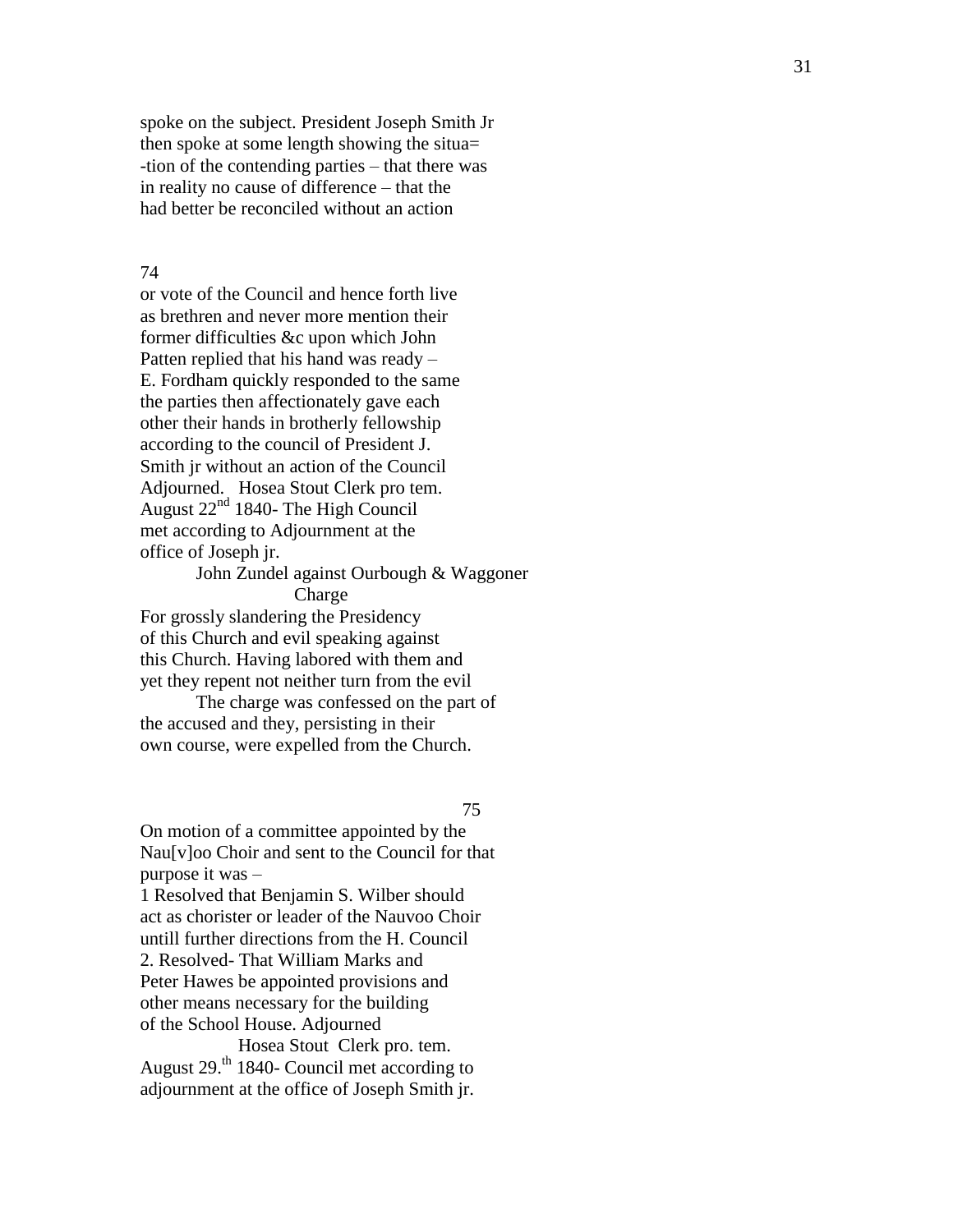spoke on the subject. President Joseph Smith Jr then spoke at some length showing the situa= -tion of the contending parties – that there was in reality no cause of difference – that the had better be reconciled without an action

## 74

or vote of the Council and hence forth live as brethren and never more mention their former difficulties &c upon which John Patten replied that his hand was ready – E. Fordham quickly responded to the same the parties then affectionately gave each other their hands in brotherly fellowship according to the council of President J. Smith jr without an action of the Council Adjourned. Hosea Stout Clerk pro tem. August 22nd 1840 - The High Council met according to Adjournment at the office of Joseph jr.

## John Zundel against Ourbough & Waggoner **Charge**

For grossly slandering the Presidency of this Church and evil speaking against this Church. Having labored with them and yet they repent not neither turn from the evil

The charge was confessed on the part of the accused and they, persisting in their own course, were expelled from the Church.

75

On motion of a committee appointed by the Nau [ v ]oo Choir and sent to the Council for that purpose it was –

1 Resolved that Benjamin S. Wilber should act as chorister or leader of the Nauvoo Choir until l further directions from the H. Council 2. Resolve d - That William Marks and Peter Hawes be appointed provisions and other means necessary for the building of the School House. Adjourned

 Hosea Stout Clerk pro. tem. August 29.<sup>th</sup> 1840- Council met according to adjournment at the office of Joseph Smith jr.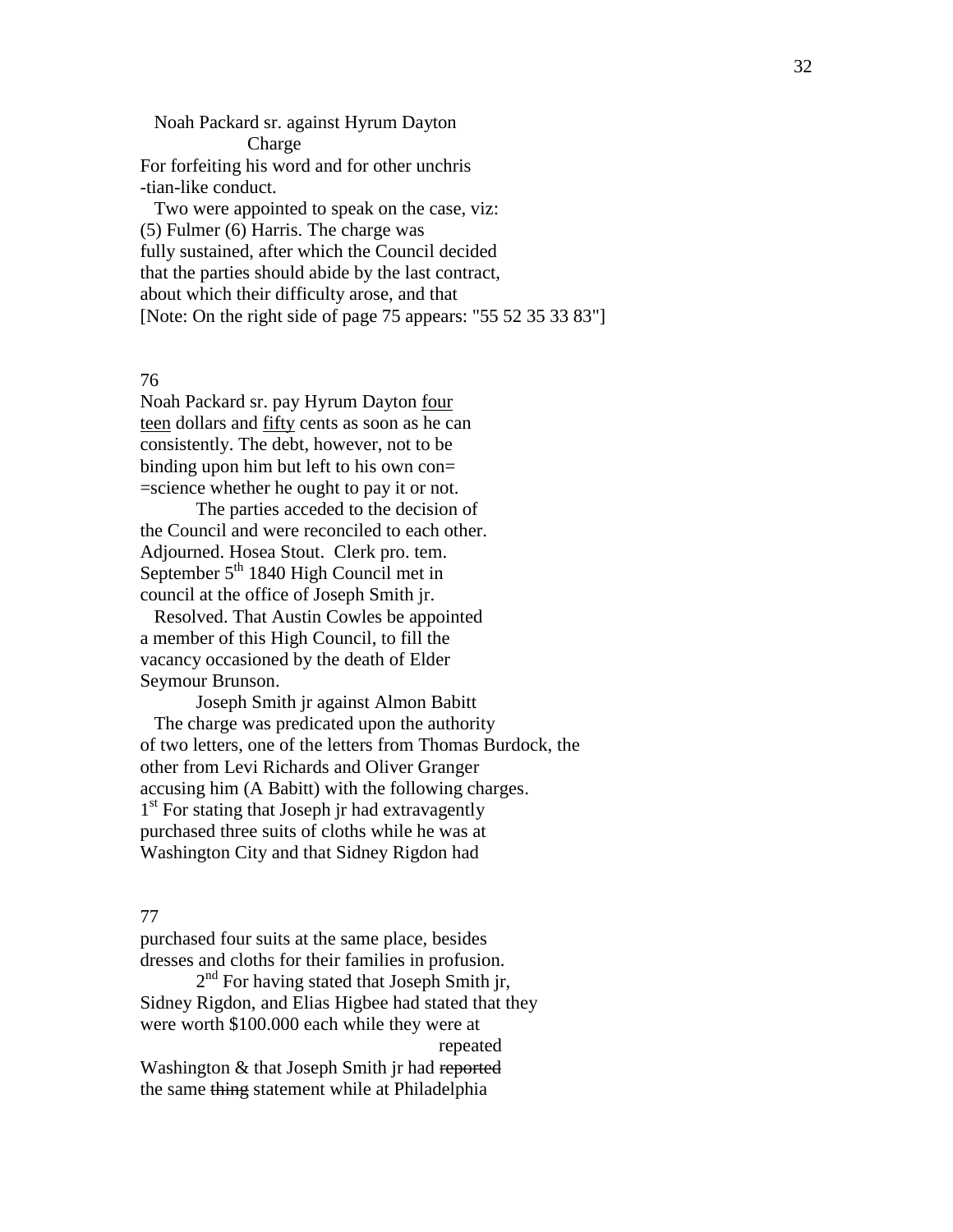Noah Packard sr. against Hyrum Dayton Charge For forfeiting his word and for other unchris -tian-like conduct.

 Two were appointed to speak on the case, viz: (5) Fulmer (6) Harris. The charge was fully sustained, after which the Council decided that the parties should abide by the last contract, about which their difficulty arose, and that [Note: On the right side of page 75 appears: "55 52 35 33 83"]

76

Noah Packard sr. pay Hyrum Dayton four teen dollars and fifty cents as soon as he can consistently. The debt, however, not to be binding upon him but left to his own con= =science whether he ought to pay it or not.

The parties acceded to the decision of the Council and were reconciled to each other. Adjourned. Hosea Stout. Clerk pro. tem. September  $5<sup>th</sup> 1840$  High Council met in council at the office of Joseph Smith jr.

 Resolved. That Austin Cowles be appointed a member of this High Council, to fill the vacancy occasioned by the death of Elder Seymour Brunson.

Joseph Smith jr against Almon Babitt The charge was predicated upon the authority of two letters, one of the letters from Thomas Burdock, the other from Levi Richards and Oliver Granger accusing him (A Babitt) with the following charges. 1<sup>st</sup> For stating that Joseph jr had extravagently purchased three suits of cloths while he was at Washington City and that Sidney Rigdon had

## 77

purchased four suits at the same place, besides dresses and cloths for their families in profusion.

2<sup>nd</sup> For having stated that Joseph Smith jr, Sidney Rigdon, and Elias Higbee had stated that they were worth \$100.000 each while they were at

repeated

Washington & that Joseph Smith jr had reported the same thing statement while at Philadelphia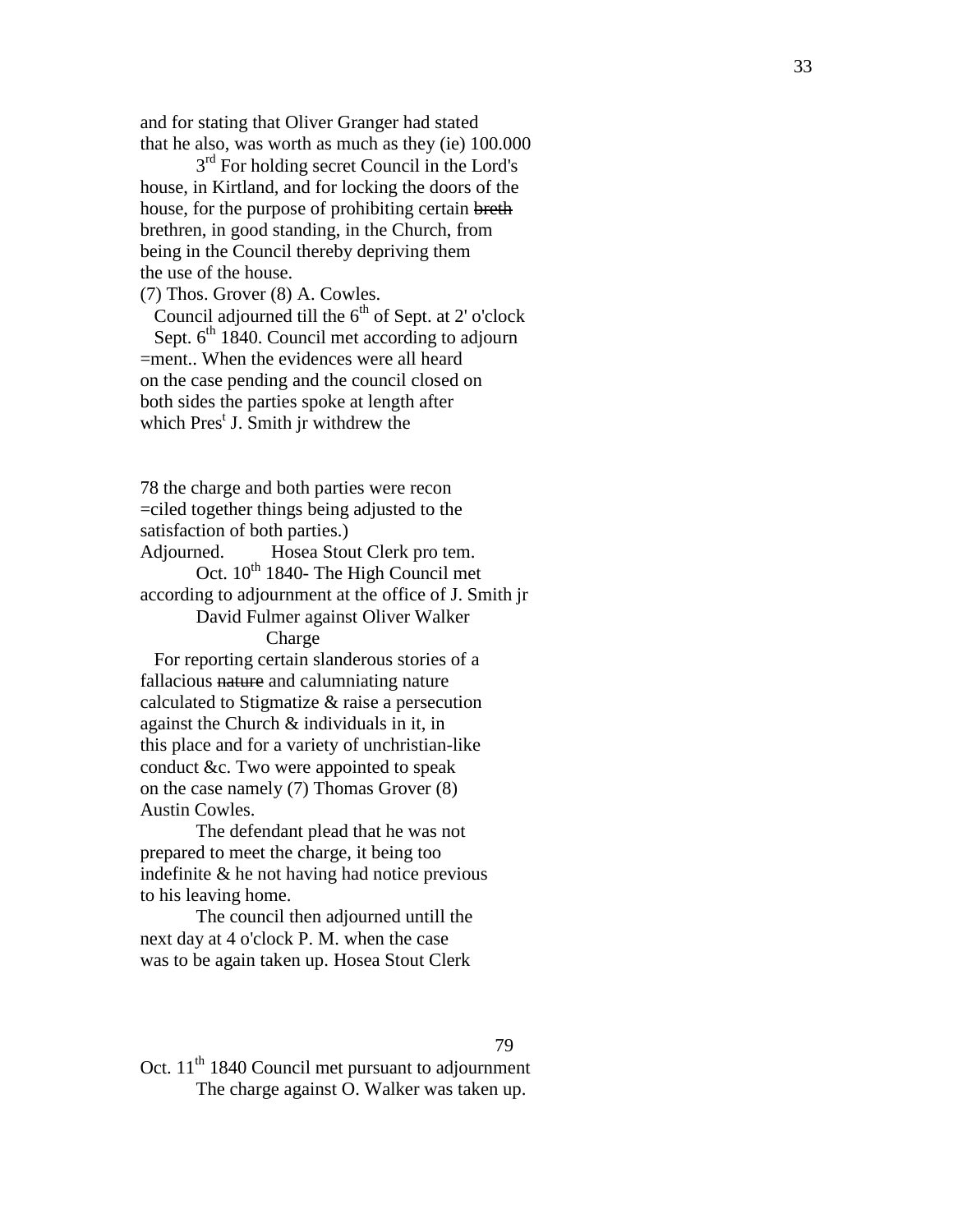and for stating that Oliver Granger had stated that he also , was worth as much as they (ie) 100.000

3<sup>rd</sup> For holding secret Council in the Lord's house , in Kirtland, and for locking the doors of the house, for the purpose of prohibiting certain breth brethren, in good standing , in the Church, from being in the Council thereby depriving them the use of the house.

(7) Thos. Grover (8) A. Cowles.

Council adjourned till the  $6<sup>th</sup>$  of Sept. at 2' o'clock Sept. 6<sup>th</sup> 1840. Council met according to adjourn =ment.. When the evidences were all heard on the case pending and the council closed on both sides the parties spoke at length after which Pres<sup>t</sup> J. Smith jr withdrew the

78 the charge and both parties were recon =ciled together things being adjusted to the satisfaction of both parties.) Adjourned. Hosea Stout Clerk pro tem .

Oct.  $10^{th}$  1840- The High Council met according to adjournment at the office of J . Smith jr David Fulmer against Oliver Walker

Charge

 For reporting certain slanderous stories of a fallacious nature and calumniating nature calculated to Stigmatize & raise a persecution against the Church & individuals in it, in this place and for a variety of unchristian -like conduct &c. Two were appointed to speak on the case namely (7) Thomas Grover (8) Austin Cowles.

The defendant plead that he was not prepared to meet the charge, it being too indefinite & he not having had notice previous to his leaving home.

The council then adjourned until l the next day at 4 o'clock P. M. when the case was to be again taken up. Hosea Stout Clerk

79

Oct.  $11<sup>th</sup> 1840$  Council met pursuant to adjournment<br>The charge against O. Walker was taken up.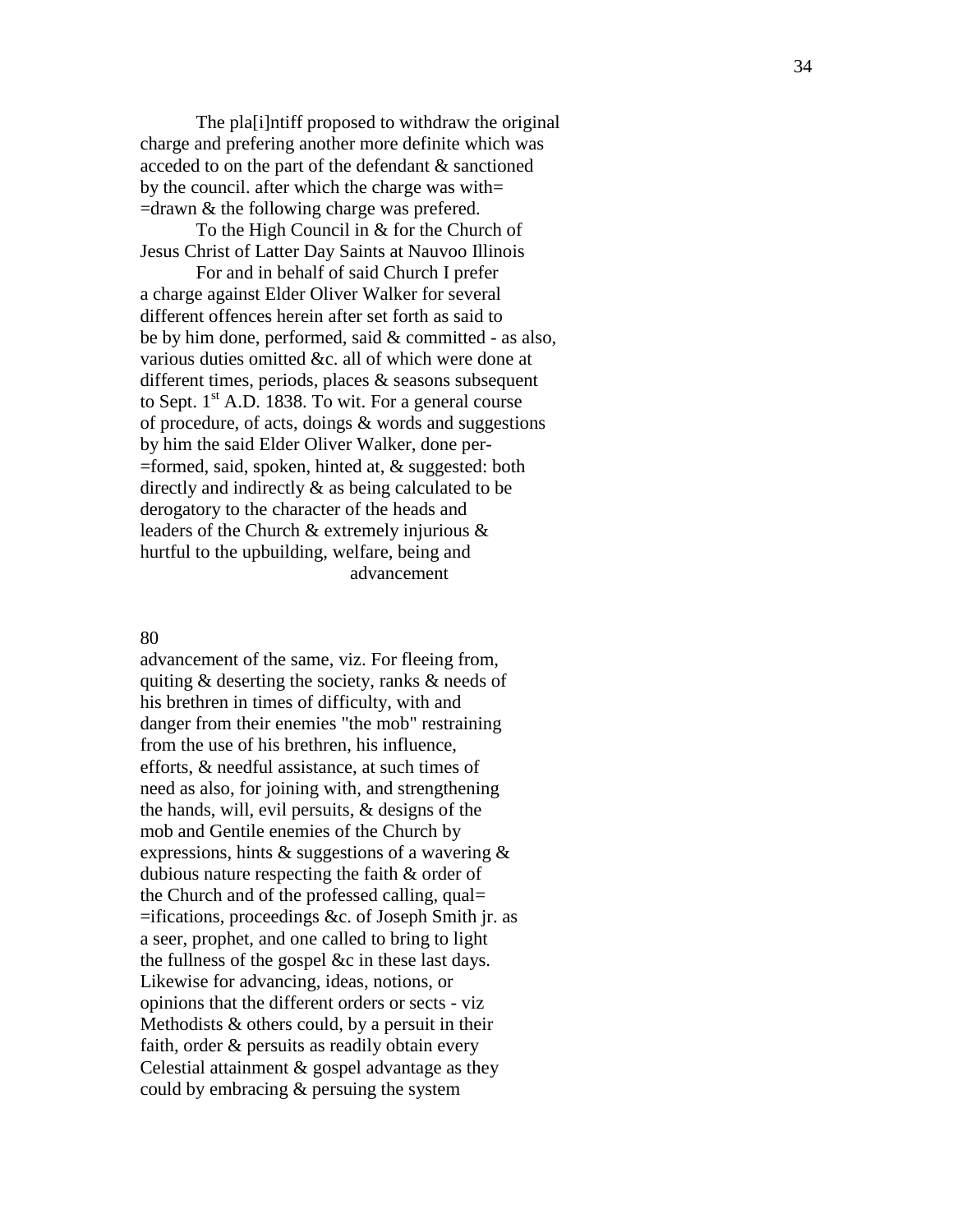The pla[i]ntiff proposed to withdraw the original charge and prefering another more definite which was acceded to on the part of the defendant & sanctioned by the council. after which the charge was with=  $=$ drawn  $\&$  the following charge was prefered.

To the High Council in & for the Church of Jesus Christ of Latter Day Saints at Nauvoo Illinois

For and in behalf of said Church I prefer a charge against Elder Oliver Walker for several different offences her ein after set forth as said to be by him done, performed, said & committed - as also, various duties omitted &c. all of which were done at different times, periods, places & seasons subsequent to Sept.  $1<sup>st</sup>$  A.D. 1838. To wit. For a general course of procedure, of acts, doings  $&$  words and suggestions by him the said Elder Oliver Walker, done per -  $=$ formed, said, spoken, hinted at,  $\&$  suggested: both directly and indirectly & as being calculated to be derogatory to the character of the heads and leaders of the Church & extremely injurious & hurtful to the upb uilding, welfare, being and advancement

#### 80

advancement of the same, viz. For fleeing from, quiting & deserting the society, ranks & needs of his brethren in times of difficulty, with and danger from their enemies "the mob" restraining from the use of his brethren , his influence , efforts, & needful assistance, at such times of need as also , for joining with , and strength ening the hands, will, evil persuits, & designs of the mob and Gentile enemies of the Church by expressions, hints & suggestions of a wavering & dubious nature respecting the faith & order of the Church and of the professed calling, qual= =ifications , proceedings &c. of Joseph Smith jr. as a seer , prophet , and one called to bring to light the fullness of the gospel &c in these last days. Likewise for advancing , ideas, notions , or opinions that the different orders or sects - viz Methodists & others could , by a persuit in their faith, order & persuits as readily obtain every Celestial attainment & gospel advantage as they could by embracing & persuing the system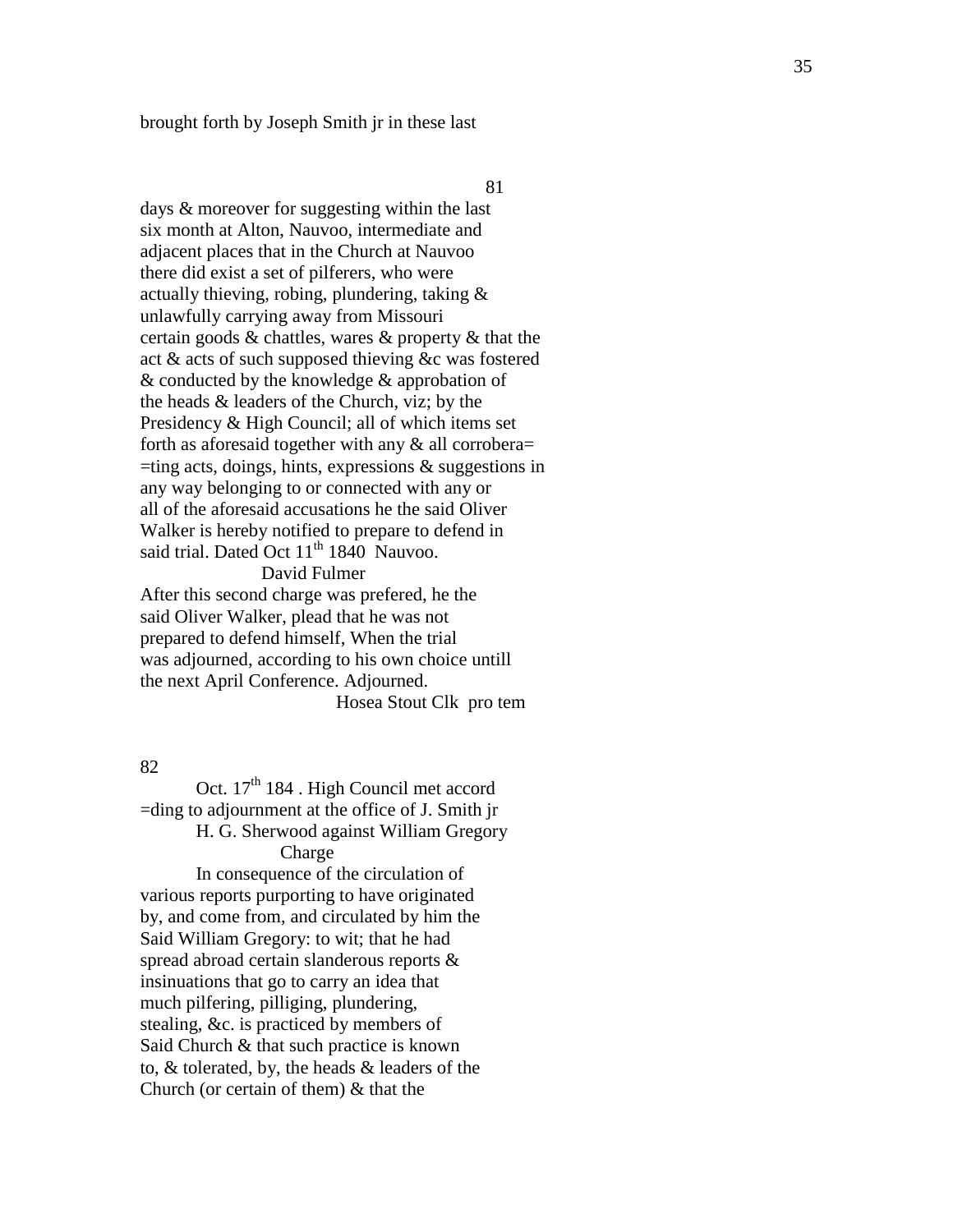brought forth by Joseph Smith jr in these last

81

days & moreover for suggesting within the last six month at Alton, Nauvoo, intermediate and adjacent places that in the Church at Nauvoo there did exist a set of pilferers, who were actually thieving, robing, plundering, taking & unlawfully carrying away from Missouri certain goods & chattles, wares & property & that the act & acts of such supposed thieving &c was fostered & conducted by the knowledge & approbation of the heads & leaders of the Church, viz; by the Presidency & High Council; all of which items set forth as aforesaid together with any & all corrobera=  $=$ ting acts, doings, hints, expressions  $\&$  suggestions in any way belonging to or connected with any or all of the afor esaid accusations he the said Oliver Walker is hereby notified to prepare to defend in said trial. Dated Oct 11<sup>th</sup> 1840 Nauvoo.

# David Fulmer

After this second charge was prefered, he the said Oliver Walker , plead that he was not prepared to defend himself, When the trial was adjourned, according to his own choice untill the next April Conference. Adjourned . Hosea Stout Clk pro tem

82

Oct. 17<sup>th</sup> 184. High Council met accord =din g to adjournment at the office of J. Smith jr H. G. Sherwood against William Gregory Charge In consequence of the circulation of various reports purporting to have originated by , and come from , and circulated by him the Said William Gregory: to wit; that he had spread abroad certain slanderous reports & insinuations that go to carry an idea that much pilfering, pilliging, plundering, stealing, &c. is practiced by members of Said Church & that such practice is known to, & tolerated , by, the heads & leaders of the C hurch (or certain of them) & that the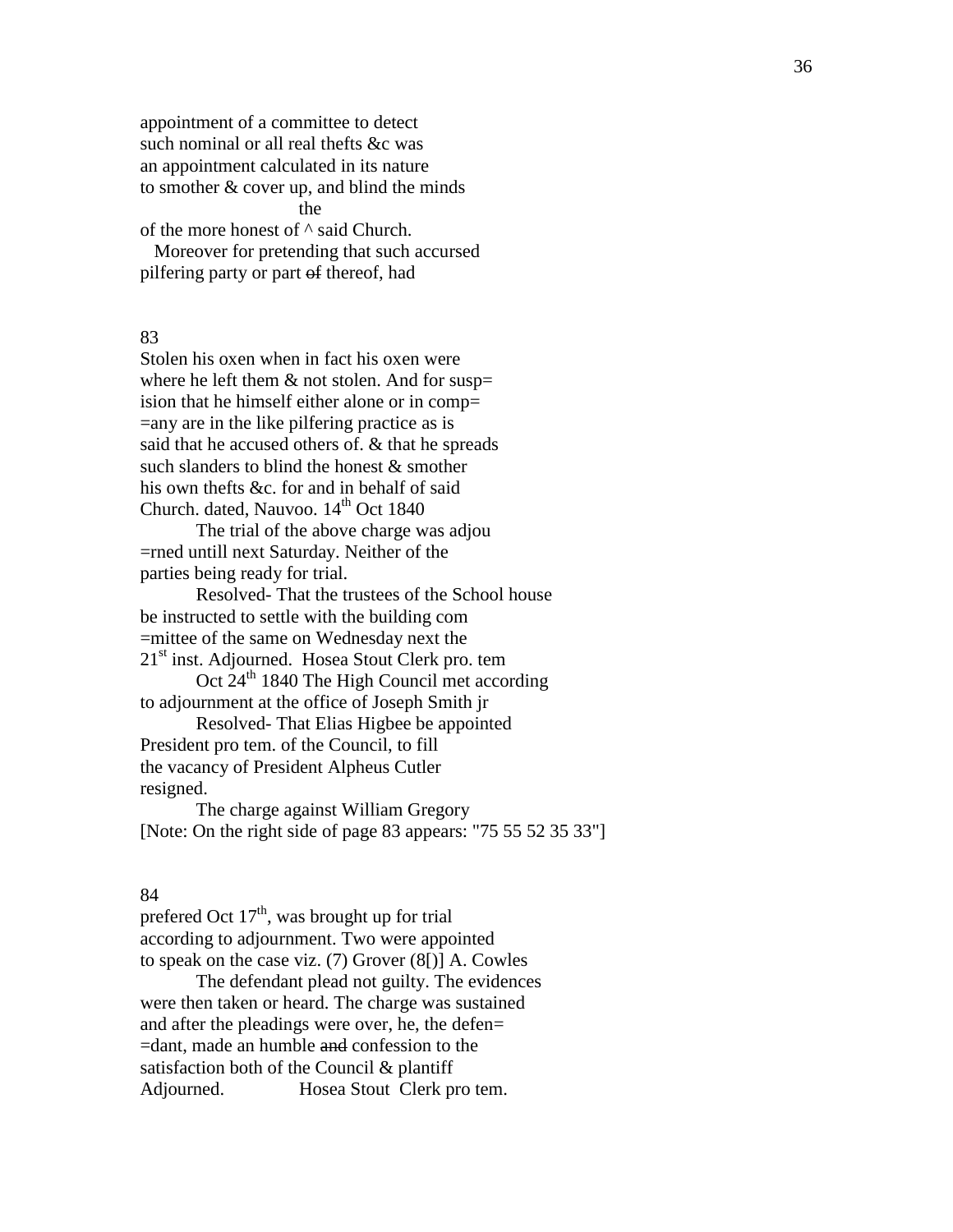appointment of a committee to detect such nominal or all real thefts &c was an appointment calculated in its nature to smother & cover up, and blind the minds the state of the state of the state of the state of the state of the state of the state of the state of the state of the state of the state of the state of the state of the state of the state of the state of the state of t of the more honest of  $\wedge$  said Church. Moreover for pretending that such accursed pilfering party or part of thereof, had

83

Stolen his oxen when in fact his oxen were where he left them  $&$  not stolen. And for susp= ision that he himself either alone or in comp= =any are in the like pilfering practice as is said that he accused others of. & that he spreads such slanders to blind the honest & smother his own thefts &c. for and in behalf of said Church. dated, Nauvoo. 14<sup>th</sup> Oct 1840

The trial of the above charge was adjou =rned untill next Saturday. Neither of the parties being ready for trial.

Resolved- That the trustees of the School house be instructed to settle with the building com =mittee of the same on Wednesday next the  $21<sup>st</sup>$  inst. Adjourned. Hosea Stout Clerk pro. tem

Oct 24<sup>th</sup> 1840 The High Council met according to adjournment at the office of Joseph Smith jr

Resolved- That Elias Higbee be appointed President pro tem. of the Council, to fill the vacancy of President Alpheus Cutler resigned.

The charge against William Gregory [Note: On the right side of page 83 appears: "75 55 52 35 33"]

#### 84

prefered Oct  $17<sup>th</sup>$ , was brought up for trial according to adjournment. Two were appointed to speak on the case viz. (7) Grover (8[)] A. Cowles

The defendant plead not guilty. The evidences were then taken or heard. The charge was sustained and after the pleadings were over, he, the defen= =dant, made an humble and confession to the satisfaction both of the Council & plantiff Adjourned. Hosea Stout Clerk pro tem.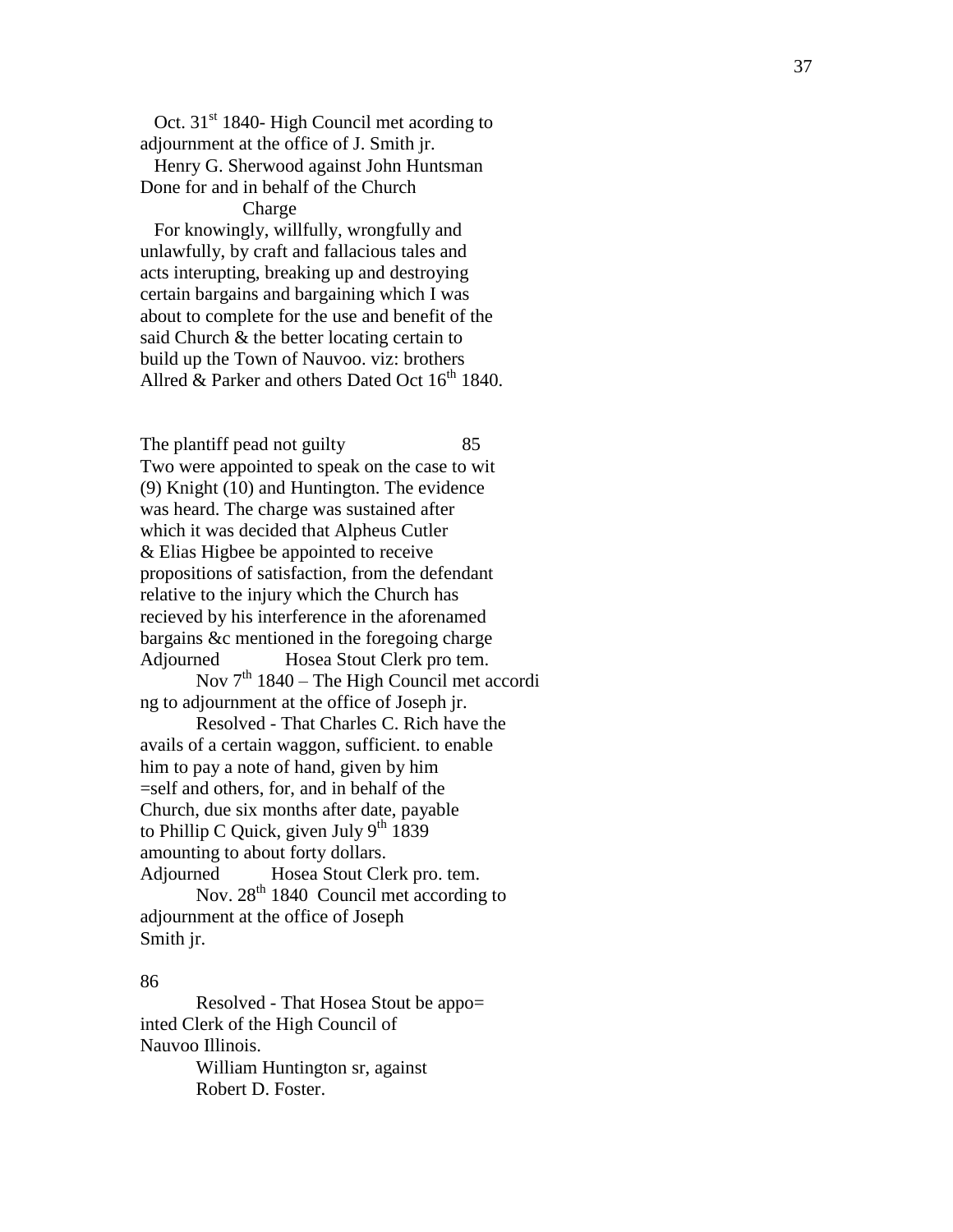Oct. 31<sup>st</sup> 1840- High Council met acording to adjournment at the office of J. Smith jr .

 Henry G. Sherwood against John Huntsman Done for and in behalf of the Church

#### **Charge**

 For knowingly, willfully, wrongfully and unlawfully , by craft and fallacious tales and acts interupting , breaking up and destroying certain bargains and bargaining which I was about to complete for the use and benefit of the said Church & the better locating certain to build up the Town of Nauvoo. viz: brothers Allred  $\&$  Parker and others Dated Oct  $16^{th}$  1840.

The plantiff pead not guilty 85 Two were appointed to speak on the case to wit (9) Knight (10) and Huntington. The evidence was heard. The charge was sustained after which it was decided that Alpheus Cutler & Elias Higbee be appointed to receive propositions of satisfaction, from the defendant relative to the injury which the Church has recieved by his interference in the aforenamed bargains &c mentioned in the foregoing charge Adjourned Hosea Stout Clerk pro tem. Nov 7<sup>th</sup> 1840 – The High Council met accordi

ng to adjournment at the office of Joseph jr . Resolved - That Charles C. Rich have the

avails of a certain waggon, sufficient. to enable him to pay a note of hand, given by him =self and others, for, and in behalf of the Church, due six month s after date, payable to Phillip C Quick, given July  $9<sup>th</sup> 1839$ amounting to about forty dollars. Adjourned Hosea Stout Clerk pro . tem. Nov. 28th 1840 Council met according to adjournment at the office of Joseph Smith jr.

#### 86

Resolved - That Hosea Stout be appo = inted Clerk of the High Council of Nauvoo Illinois. William Huntington sr, against Robert D. Foster .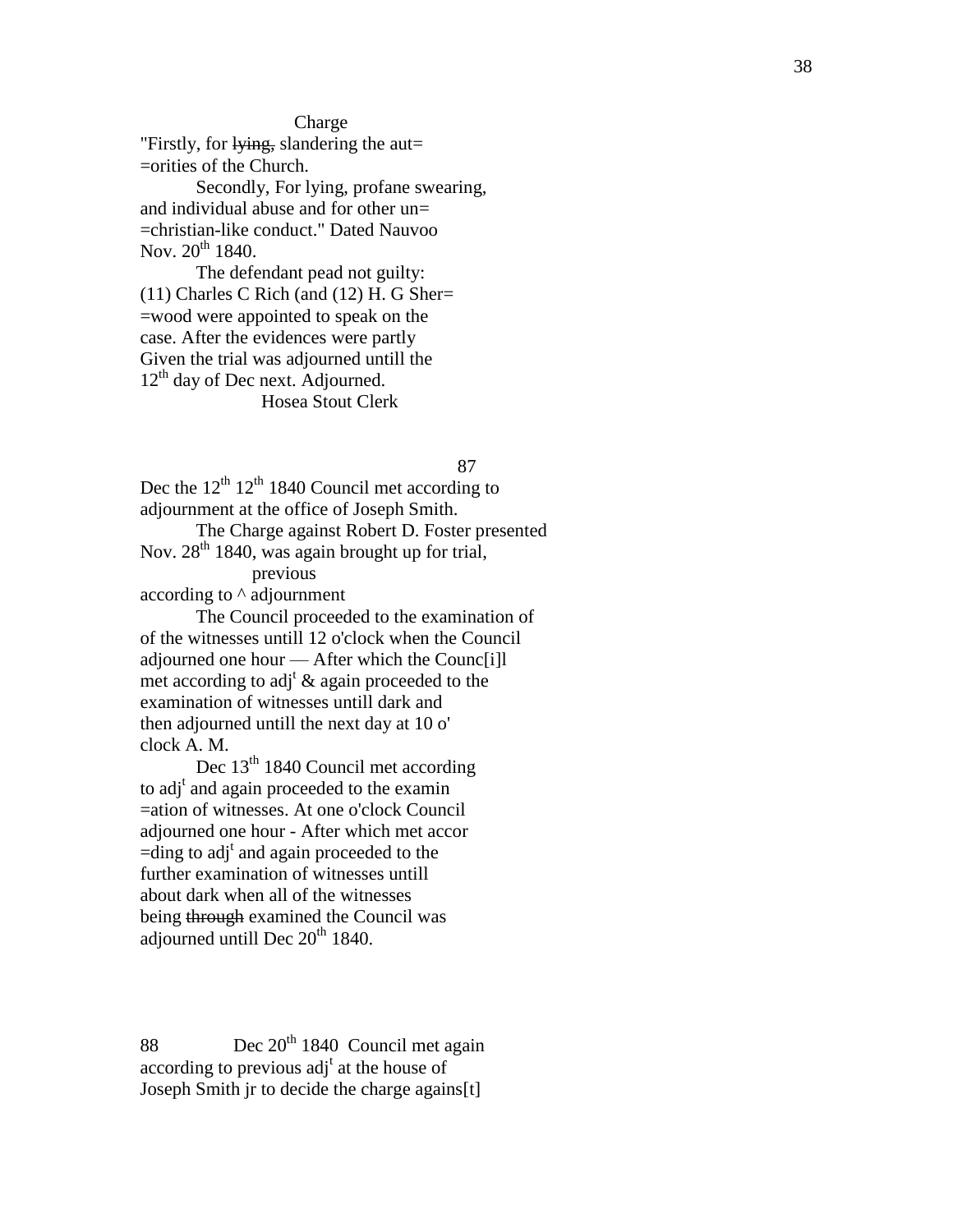**Charge** 

"Firstly, for lying, slandering the aut= =orities of the Church.

Secondly, For lying, profane sw earing , and individual abuse and for other un= =christian -like conduct." Dated Nauvoo Nov.  $20^{th}$  1840.

The defendant pead not guilty : (11) Charles C Rich (and (12) H. G Sher = =wood were appointed to speak on the case. After the evidences were partly Given the trial was adjourned untill the 12<sup>th</sup> day of Dec next. Adjourned. Hosea Stout Clerk

87

Dec the  $12^{th}$   $12^{th}$  1840 Council met according to adjournment at the office of Joseph Smith. The Charge against Robert D. Foster presented Nov. 28<sup>th</sup> 1840, was again brought up for trial, previous

according to ^ adjournment

The Council proceeded to the examination of of the witnesses until l 12 o'clock when the Council adjourned one hour — After which the Counc[i]l met according to adj<sup>t</sup>  $\&$  again proceeded to the examination of witnesses until l dark and then adjourned until l the next day at 10 o' clock A. M.

Dec  $13<sup>th</sup> 1840$  Council met according to adj<sup>t</sup> and again proceeded to the examin =ation of witnesses. At one o'clock Council adjourned one hour - After which met accor  $=$ ding to adj<sup>t</sup> and again proceeded to the further examination of witnesses until l about dark when all of the witnesses being through examined the Council was adjourned untill Dec  $20<sup>th</sup>$  1840.

88 Dec 20<sup>th</sup> 1840 Council met again according to previous  $adj<sup>t</sup>$  at the house of Joseph Smith jr to decide the charge agains [ t ]